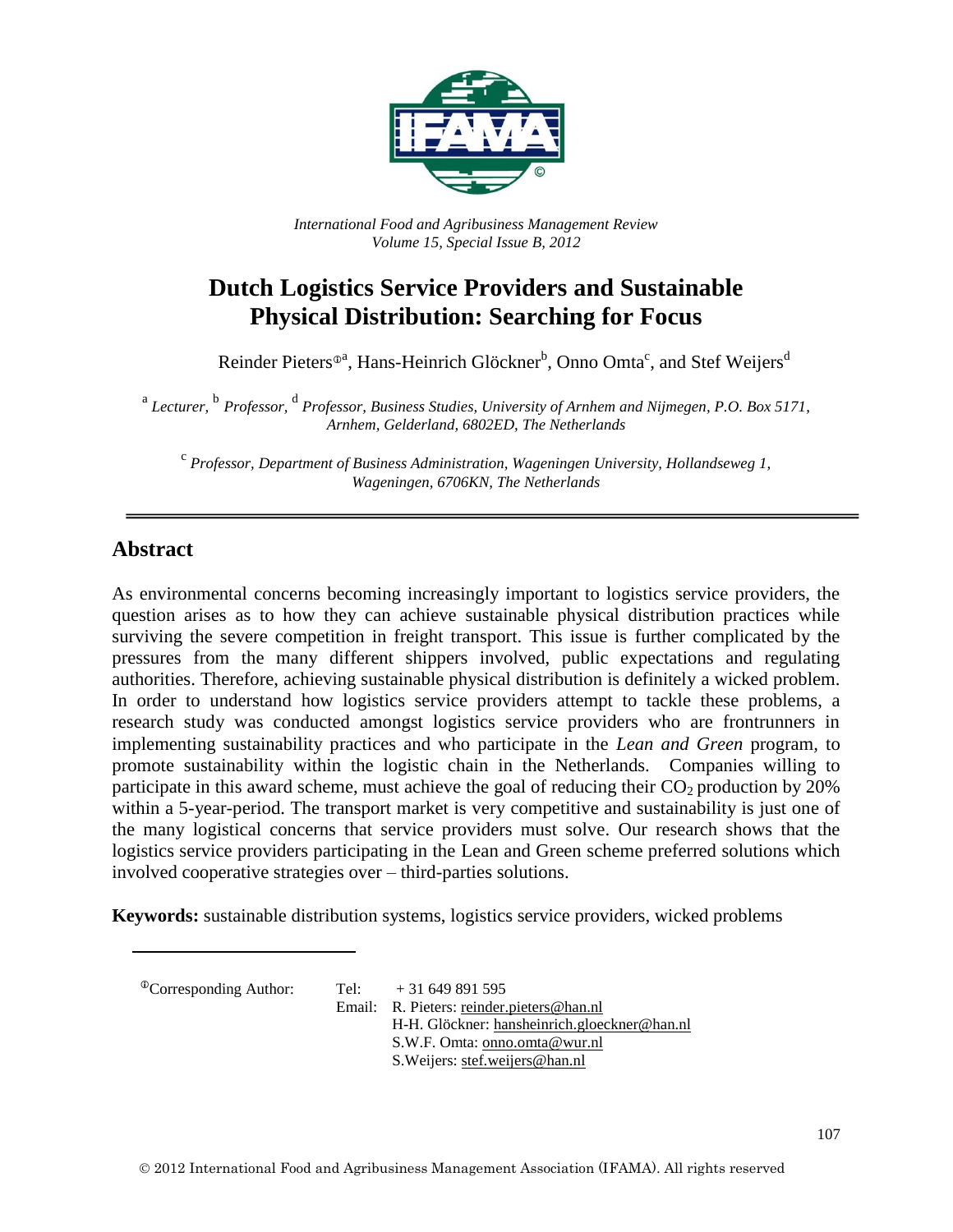

*International Food and Agribusiness Management Review Volume 15, Special Issue B, 2012*

# **Dutch Logistics Service Providers and Sustainable Physical Distribution: Searching for Focus**

Reinder Pieters®ª, Hans-Heinrich Glöckner<sup>b</sup>, Onno Omta<sup>c</sup>, and Stef Weijers<sup>d</sup>

<sup>a</sup> Lecturer, <sup>b</sup> Professor, <sup>d</sup> Professor, Business Studies, University of Arnhem and Nijmegen, P.O. Box 5171, *Arnhem, Gelderland, 6802ED, The Netherlands*

<sup>c</sup><br>Professor, Department of Business Administration, Wageningen University, Hollandseweg 1, *Wageningen, 6706KN, The Netherlands*

#### **Abstract**

As environmental concerns becoming increasingly important to logistics service providers, the question arises as to how they can achieve sustainable physical distribution practices while surviving the severe competition in freight transport. This issue is further complicated by the pressures from the many different shippers involved, public expectations and regulating authorities. Therefore, achieving sustainable physical distribution is definitely a wicked problem. In order to understand how logistics service providers attempt to tackle these problems, a research study was conducted amongst logistics service providers who are frontrunners in implementing sustainability practices and who participate in the *Lean and Green* program*,* to promote sustainability within the logistic chain in the Netherlands. Companies willing to participate in this award scheme, must achieve the goal of reducing their  $CO<sub>2</sub>$  production by 20% within a 5-year-period. The transport market is very competitive and sustainability is just one of the many logistical concerns that service providers must solve. Our research shows that the logistics service providers participating in the Lean and Green scheme preferred solutions which involved cooperative strategies over – third-parties solutions.

**Keywords:** sustainable distribution systems, logistics service providers, wicked problems

 ${}^{\circ}$ Corresponding Author: Tel:  $+31649891595$ 

Email: R. Pieters: [reinder.pieters@han.nl](mailto:reinder.pieters@han.nl) H-H. Glöckner: [hansheinrich.gloeckner@han.nl](mailto:hansheinrich.gloeckner@han.nl)  S.W.F. Omta: [onno.omta@wur.nl](mailto:onno.omta@wur.nl) S.Weijers[: stef.weijers@han.nl](mailto:stef.weijers@han.nl)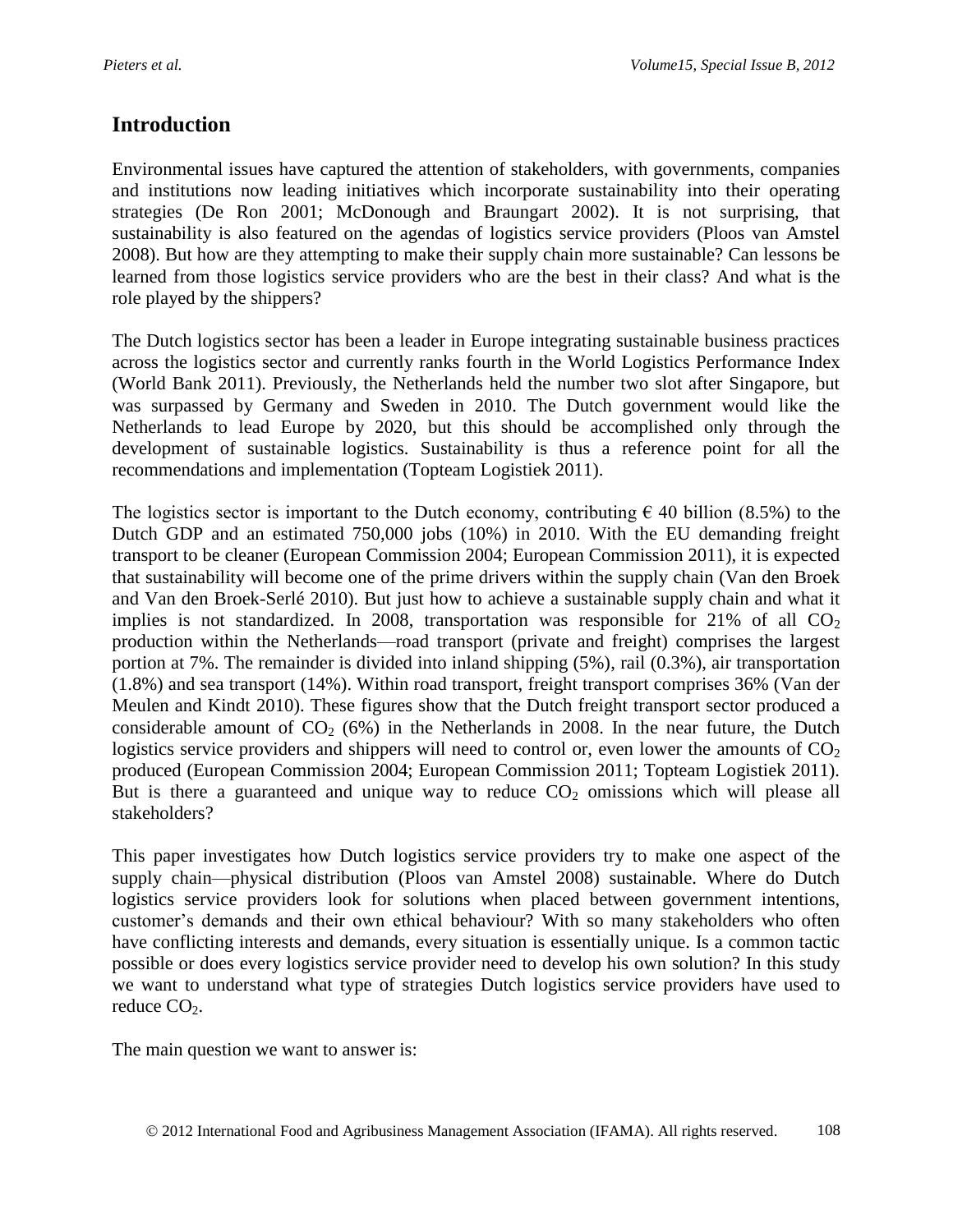## **Introduction**

Environmental issues have captured the attention of stakeholders, with governments, companies and institutions now leading initiatives which incorporate sustainability into their operating strategies (De Ron 2001; McDonough and Braungart 2002). It is not surprising, that sustainability is also featured on the agendas of logistics service providers (Ploos van Amstel 2008). But how are they attempting to make their supply chain more sustainable? Can lessons be learned from those logistics service providers who are the best in their class? And what is the role played by the shippers?

The Dutch logistics sector has been a leader in Europe integrating sustainable business practices across the logistics sector and currently ranks fourth in the World Logistics Performance Index (World Bank 2011). Previously, the Netherlands held the number two slot after Singapore, but was surpassed by Germany and Sweden in 2010. The Dutch government would like the Netherlands to lead Europe by 2020, but this should be accomplished only through the development of sustainable logistics. Sustainability is thus a reference point for all the recommendations and implementation (Topteam Logistiek 2011).

The logistics sector is important to the Dutch economy, contributing  $\epsilon$  40 billion (8.5%) to the Dutch GDP and an estimated 750,000 jobs (10%) in 2010. With the EU demanding freight transport to be cleaner (European Commission 2004; European Commission 2011), it is expected that sustainability will become one of the prime drivers within the supply chain (Van den Broek and Van den Broek-Serlé 2010). But just how to achieve a sustainable supply chain and what it implies is not standardized. In 2008, transportation was responsible for 21% of all  $CO<sub>2</sub>$ production within the Netherlands—road transport (private and freight) comprises the largest portion at 7%. The remainder is divided into inland shipping (5%), rail (0.3%), air transportation (1.8%) and sea transport (14%). Within road transport, freight transport comprises 36% (Van der Meulen and Kindt 2010). These figures show that the Dutch freight transport sector produced a considerable amount of  $CO<sub>2</sub>$  (6%) in the Netherlands in 2008. In the near future, the Dutch logistics service providers and shippers will need to control or, even lower the amounts of  $CO<sub>2</sub>$ produced (European Commission 2004; European Commission 2011; Topteam Logistiek 2011). But is there a guaranteed and unique way to reduce  $CO<sub>2</sub>$  omissions which will please all stakeholders?

This paper investigates how Dutch logistics service providers try to make one aspect of the supply chain—physical distribution (Ploos van Amstel 2008) sustainable. Where do Dutch logistics service providers look for solutions when placed between government intentions, customer's demands and their own ethical behaviour? With so many stakeholders who often have conflicting interests and demands, every situation is essentially unique. Is a common tactic possible or does every logistics service provider need to develop his own solution? In this study we want to understand what type of strategies Dutch logistics service providers have used to reduce  $CO<sub>2</sub>$ .

The main question we want to answer is: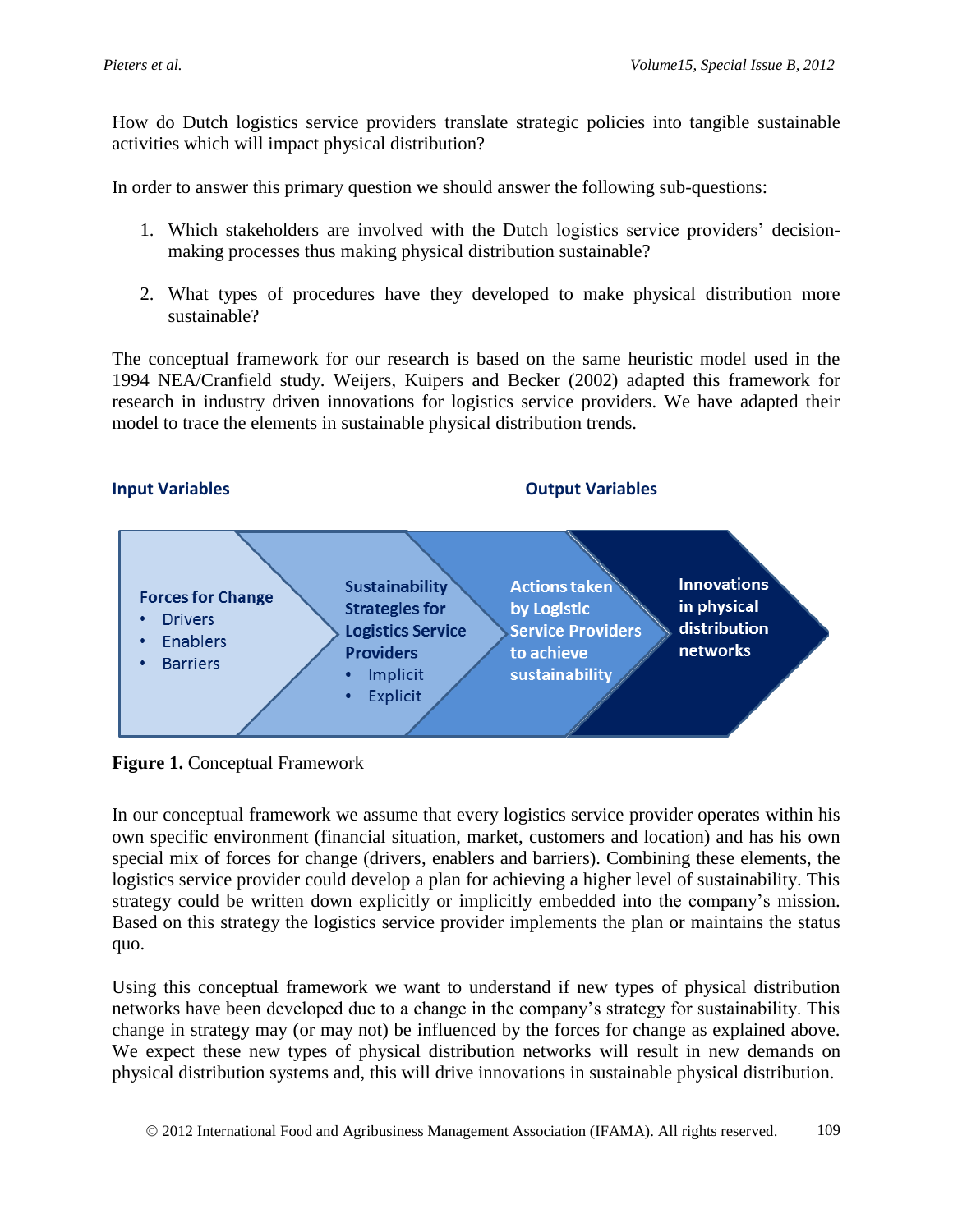How do Dutch logistics service providers translate strategic policies into tangible sustainable activities which will impact physical distribution?

In order to answer this primary question we should answer the following sub-questions:

- 1. Which stakeholders are involved with the Dutch logistics service providers' decisionmaking processes thus making physical distribution sustainable?
- 2. What types of procedures have they developed to make physical distribution more sustainable?

The conceptual framework for our research is based on the same heuristic model used in the 1994 NEA/Cranfield study. Weijers, Kuipers and Becker (2002) adapted this framework for research in industry driven innovations for logistics service providers. We have adapted their model to trace the elements in sustainable physical distribution trends.

**Input Variables Community Community Community Community Community Community Community Community Community Community Community Community Community Community Community Community Community Community Community Community Commu** 



**Figure 1.** Conceptual Framework

In our conceptual framework we assume that every logistics service provider operates within his own specific environment (financial situation, market, customers and location) and has his own special mix of forces for change (drivers, enablers and barriers). Combining these elements, the logistics service provider could develop a plan for achieving a higher level of sustainability. This strategy could be written down explicitly or implicitly embedded into the company's mission. Based on this strategy the logistics service provider implements the plan or maintains the status quo.

Using this conceptual framework we want to understand if new types of physical distribution networks have been developed due to a change in the company's strategy for sustainability. This change in strategy may (or may not) be influenced by the forces for change as explained above. We expect these new types of physical distribution networks will result in new demands on physical distribution systems and, this will drive innovations in sustainable physical distribution.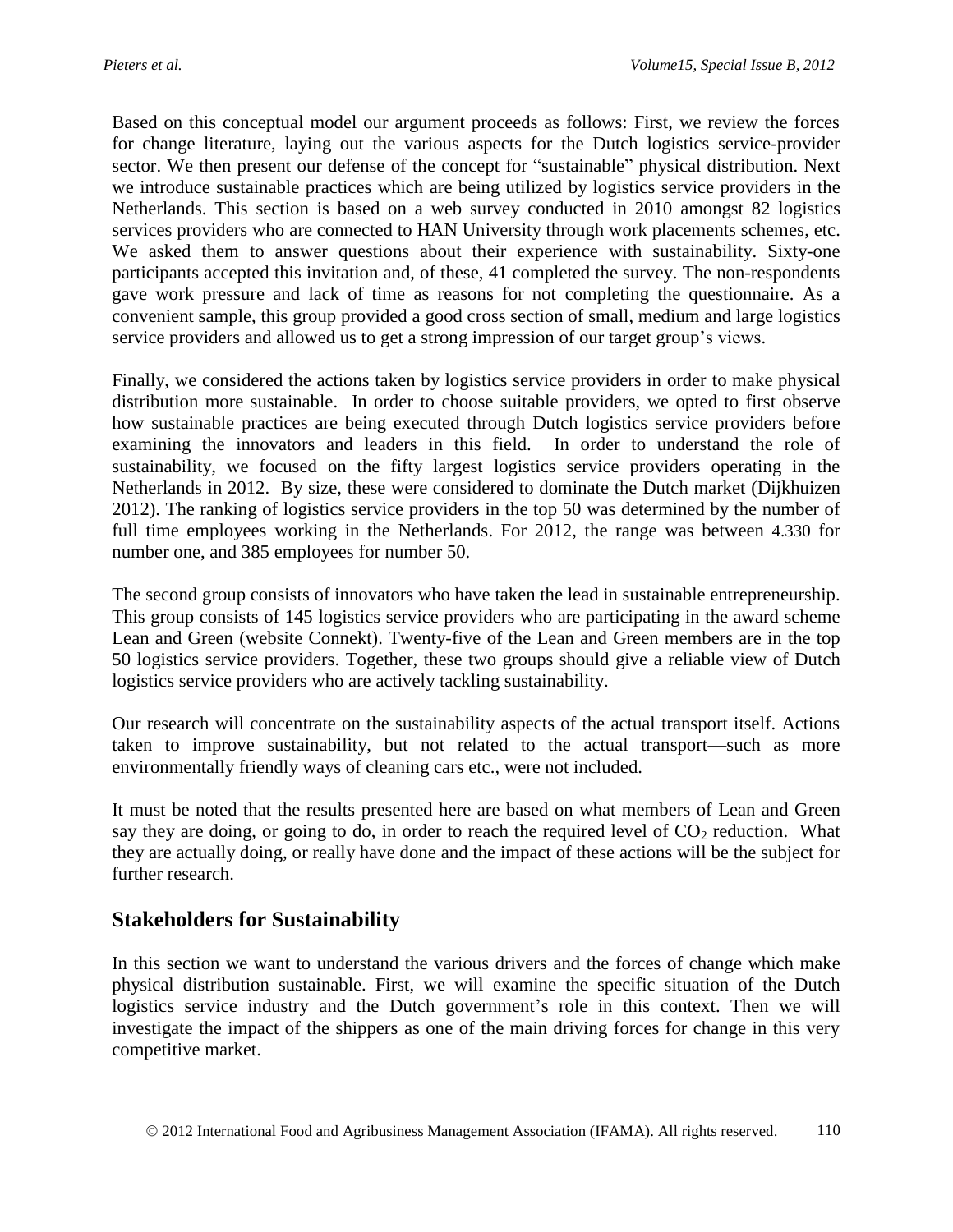Based on this conceptual model our argument proceeds as follows: First, we review the forces for change literature, laying out the various aspects for the Dutch logistics service-provider sector. We then present our defense of the concept for "sustainable" physical distribution. Next we introduce sustainable practices which are being utilized by logistics service providers in the Netherlands. This section is based on a web survey conducted in 2010 amongst 82 logistics services providers who are connected to HAN University through work placements schemes, etc. We asked them to answer questions about their experience with sustainability. Sixty-one participants accepted this invitation and, of these, 41 completed the survey. The non-respondents gave work pressure and lack of time as reasons for not completing the questionnaire. As a convenient sample, this group provided a good cross section of small, medium and large logistics service providers and allowed us to get a strong impression of our target group's views.

Finally, we considered the actions taken by logistics service providers in order to make physical distribution more sustainable. In order to choose suitable providers, we opted to first observe how sustainable practices are being executed through Dutch logistics service providers before examining the innovators and leaders in this field. In order to understand the role of sustainability, we focused on the fifty largest logistics service providers operating in the Netherlands in 2012. By size, these were considered to dominate the Dutch market (Dijkhuizen 2012). The ranking of logistics service providers in the top 50 was determined by the number of full time employees working in the Netherlands. For 2012, the range was between 4.330 for number one, and 385 employees for number 50.

The second group consists of innovators who have taken the lead in sustainable entrepreneurship. This group consists of 145 logistics service providers who are participating in the award scheme Lean and Green (website Connekt). Twenty-five of the Lean and Green members are in the top 50 logistics service providers. Together, these two groups should give a reliable view of Dutch logistics service providers who are actively tackling sustainability.

Our research will concentrate on the sustainability aspects of the actual transport itself. Actions taken to improve sustainability, but not related to the actual transport—such as more environmentally friendly ways of cleaning cars etc., were not included.

It must be noted that the results presented here are based on what members of Lean and Green say they are doing, or going to do, in order to reach the required level of  $CO<sub>2</sub>$  reduction. What they are actually doing, or really have done and the impact of these actions will be the subject for further research.

### **Stakeholders for Sustainability**

In this section we want to understand the various drivers and the forces of change which make physical distribution sustainable. First, we will examine the specific situation of the Dutch logistics service industry and the Dutch government's role in this context. Then we will investigate the impact of the shippers as one of the main driving forces for change in this very competitive market.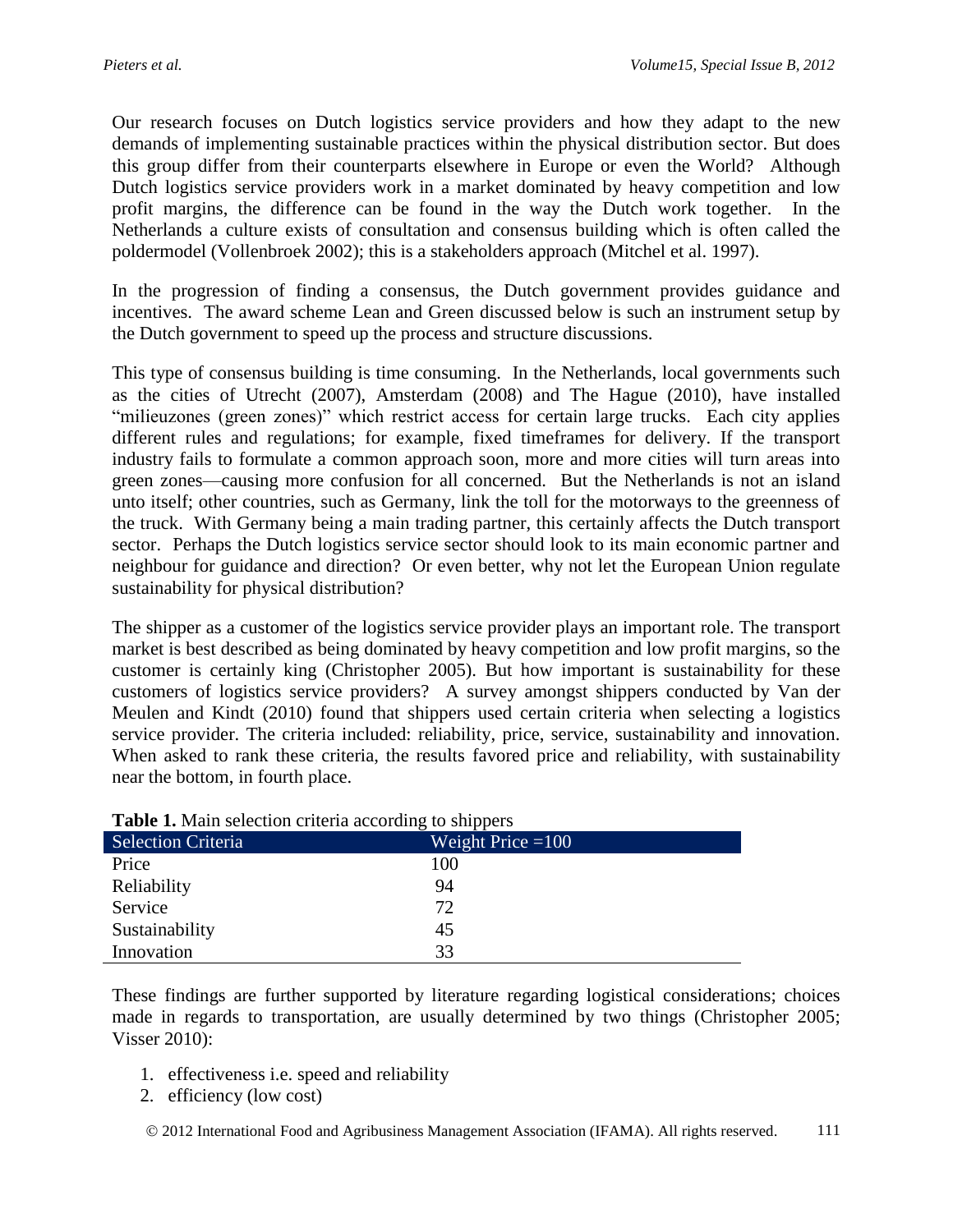Our research focuses on Dutch logistics service providers and how they adapt to the new demands of implementing sustainable practices within the physical distribution sector. But does this group differ from their counterparts elsewhere in Europe or even the World? Although Dutch logistics service providers work in a market dominated by heavy competition and low profit margins, the difference can be found in the way the Dutch work together. In the Netherlands a culture exists of consultation and consensus building which is often called the poldermodel (Vollenbroek 2002); this is a stakeholders approach (Mitchel et al. 1997).

In the progression of finding a consensus, the Dutch government provides guidance and incentives. The award scheme Lean and Green discussed below is such an instrument setup by the Dutch government to speed up the process and structure discussions.

This type of consensus building is time consuming. In the Netherlands, local governments such as the cities of Utrecht (2007), Amsterdam (2008) and The Hague (2010), have installed "milieuzones (green zones)" which restrict access for certain large trucks. Each city applies different rules and regulations; for example, fixed timeframes for delivery. If the transport industry fails to formulate a common approach soon, more and more cities will turn areas into green zones—causing more confusion for all concerned. But the Netherlands is not an island unto itself; other countries, such as Germany, link the toll for the motorways to the greenness of the truck. With Germany being a main trading partner, this certainly affects the Dutch transport sector. Perhaps the Dutch logistics service sector should look to its main economic partner and neighbour for guidance and direction? Or even better, why not let the European Union regulate sustainability for physical distribution?

The shipper as a customer of the logistics service provider plays an important role. The transport market is best described as being dominated by heavy competition and low profit margins, so the customer is certainly king (Christopher 2005). But how important is sustainability for these customers of logistics service providers? A survey amongst shippers conducted by Van der Meulen and Kindt (2010) found that shippers used certain criteria when selecting a logistics service provider. The criteria included: reliability, price, service, sustainability and innovation. When asked to rank these criteria, the results favored price and reliability, with sustainability near the bottom, in fourth place.

| <b>Table 1.</b> Main selection criteria according to shippers |                     |  |
|---------------------------------------------------------------|---------------------|--|
| <b>Selection Criteria</b>                                     | Weight Price $=100$ |  |
| Price                                                         | 100                 |  |
| Reliability                                                   | 94                  |  |
| Service                                                       | 72                  |  |
| Sustainability                                                | 45                  |  |
| Innovation                                                    | 33                  |  |

### **Table 1.** Main selection criteria according to shippers

These findings are further supported by literature regarding logistical considerations; choices made in regards to transportation, are usually determined by two things (Christopher 2005; Visser 2010):

- 1. effectiveness i.e. speed and reliability
- 2. efficiency (low cost)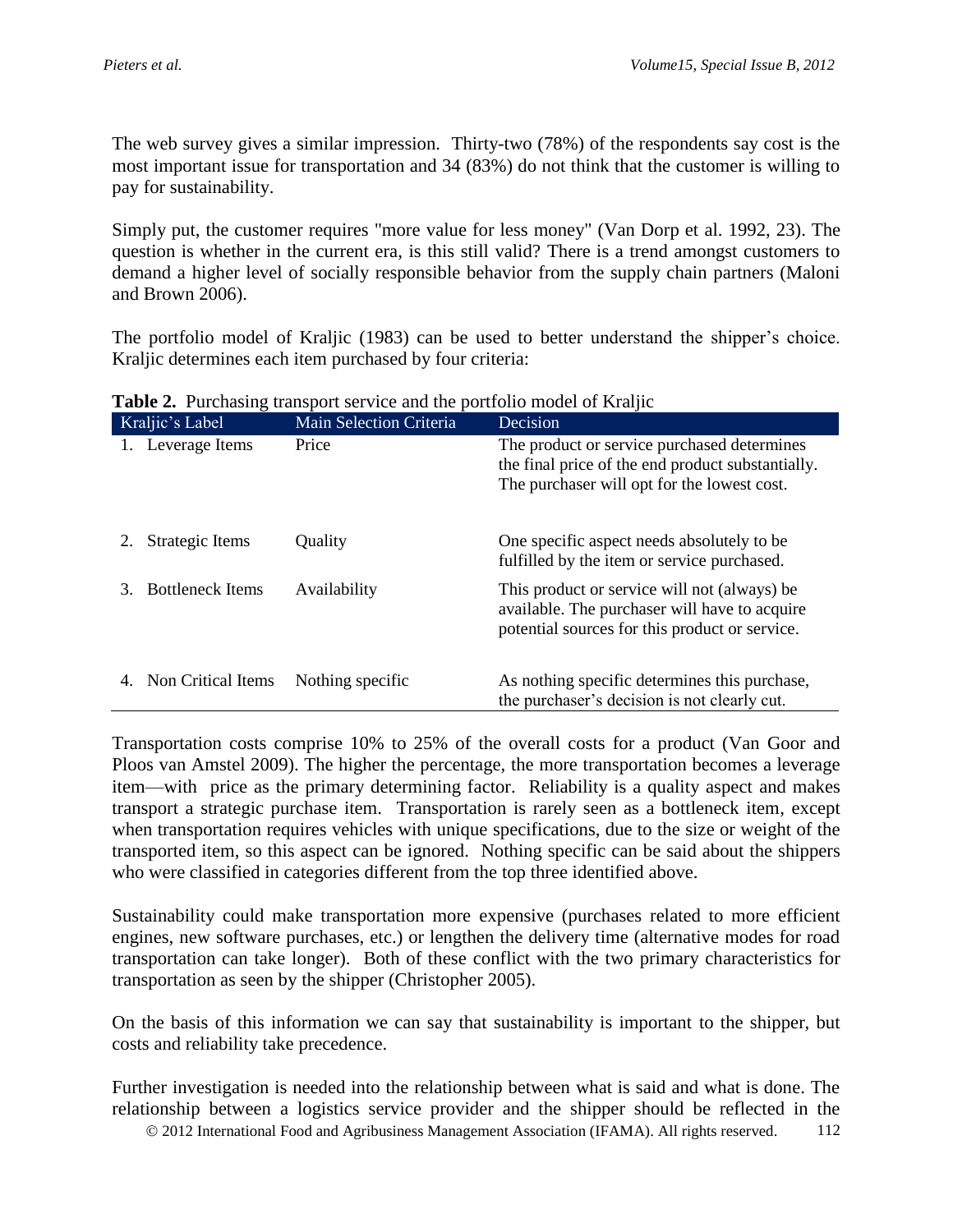The web survey gives a similar impression. Thirty-two (78%) of the respondents say cost is the most important issue for transportation and 34 (83%) do not think that the customer is willing to pay for sustainability.

Simply put, the customer requires "more value for less money" (Van Dorp et al. 1992, 23). The question is whether in the current era, is this still valid? There is a trend amongst customers to demand a higher level of socially responsible behavior from the supply chain partners (Maloni and Brown 2006).

The portfolio model of Kraljic (1983) can be used to better understand the shipper's choice. Kraljic determines each item purchased by four criteria:

| Kraljic's Label               | Main Selection Criteria | Decision                                                                                                                                        |
|-------------------------------|-------------------------|-------------------------------------------------------------------------------------------------------------------------------------------------|
| 1. Leverage Items             | Price                   | The product or service purchased determines<br>the final price of the end product substantially.<br>The purchaser will opt for the lowest cost. |
| Strategic Items               | Quality                 | One specific aspect needs absolutely to be<br>fulfilled by the item or service purchased.                                                       |
| <b>Bottleneck Items</b><br>3. | Availability            | This product or service will not (always) be<br>available. The purchaser will have to acquire<br>potential sources for this product or service. |
| Non Critical Items            | Nothing specific        | As nothing specific determines this purchase,<br>the purchaser's decision is not clearly cut.                                                   |

**Table 2.** Purchasing transport service and the portfolio model of Kraljic

Transportation costs comprise 10% to 25% of the overall costs for a product (Van Goor and Ploos van Amstel 2009). The higher the percentage, the more transportation becomes a leverage item—with price as the primary determining factor. Reliability is a quality aspect and makes transport a strategic purchase item. Transportation is rarely seen as a bottleneck item, except when transportation requires vehicles with unique specifications, due to the size or weight of the transported item, so this aspect can be ignored. Nothing specific can be said about the shippers who were classified in categories different from the top three identified above.

Sustainability could make transportation more expensive (purchases related to more efficient engines, new software purchases, etc.) or lengthen the delivery time (alternative modes for road transportation can take longer). Both of these conflict with the two primary characteristics for transportation as seen by the shipper (Christopher 2005).

On the basis of this information we can say that sustainability is important to the shipper, but costs and reliability take precedence.

 2012 International Food and Agribusiness Management Association (IFAMA). All rights reserved. 112 Further investigation is needed into the relationship between what is said and what is done. The relationship between a logistics service provider and the shipper should be reflected in the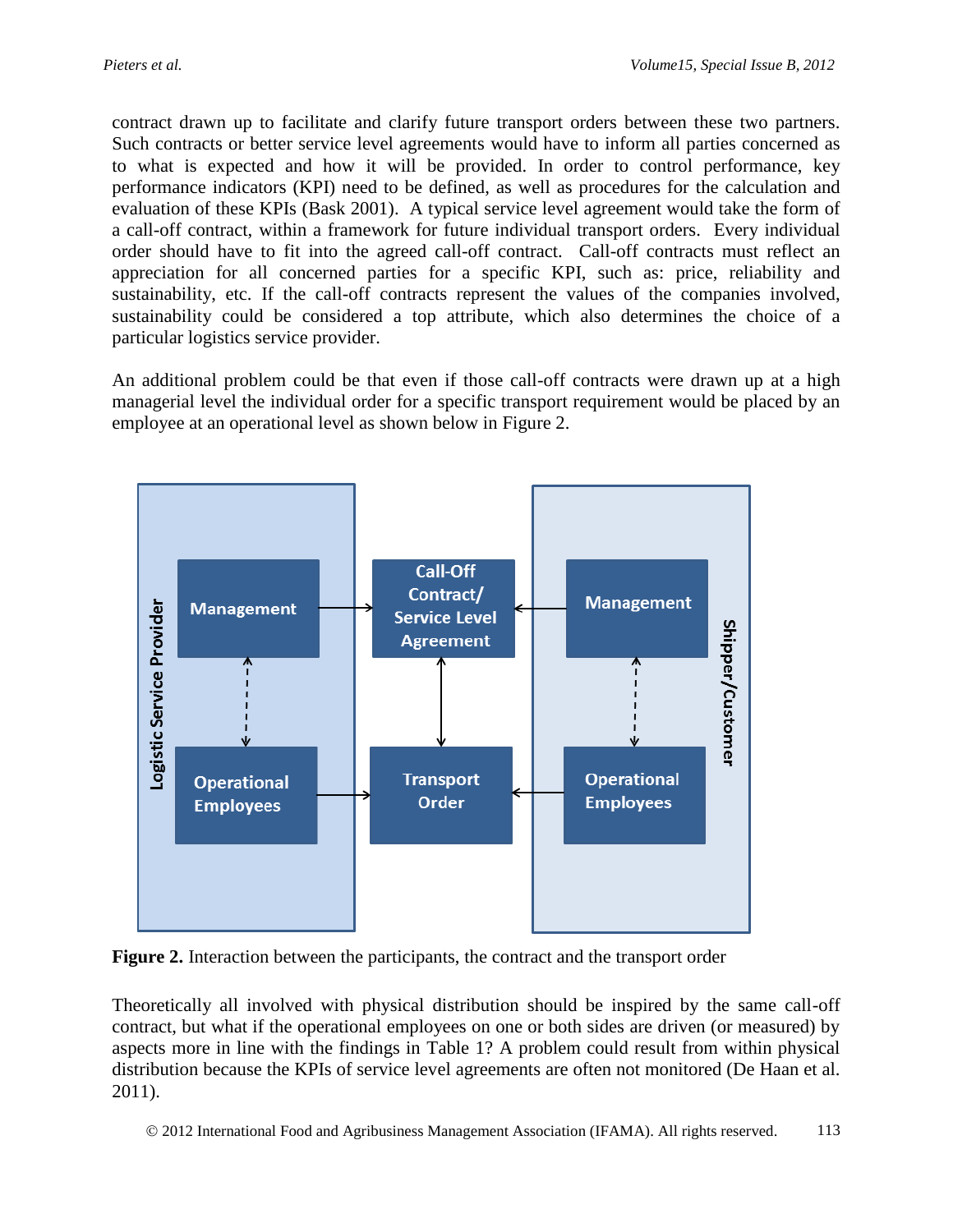contract drawn up to facilitate and clarify future transport orders between these two partners. Such contracts or better service level agreements would have to inform all parties concerned as to what is expected and how it will be provided. In order to control performance, key performance indicators (KPI) need to be defined, as well as procedures for the calculation and evaluation of these KPIs (Bask 2001). A typical service level agreement would take the form of a call-off contract, within a framework for future individual transport orders. Every individual order should have to fit into the agreed call-off contract. Call-off contracts must reflect an appreciation for all concerned parties for a specific KPI, such as: price, reliability and sustainability, etc. If the call-off contracts represent the values of the companies involved, sustainability could be considered a top attribute, which also determines the choice of a particular logistics service provider.

An additional problem could be that even if those call-off contracts were drawn up at a high managerial level the individual order for a specific transport requirement would be placed by an employee at an operational level as shown below in Figure 2.



**Figure 2.** Interaction between the participants, the contract and the transport order

Theoretically all involved with physical distribution should be inspired by the same call-off contract, but what if the operational employees on one or both sides are driven (or measured) by aspects more in line with the findings in Table 1? A problem could result from within physical distribution because the KPIs of service level agreements are often not monitored (De Haan et al. 2011).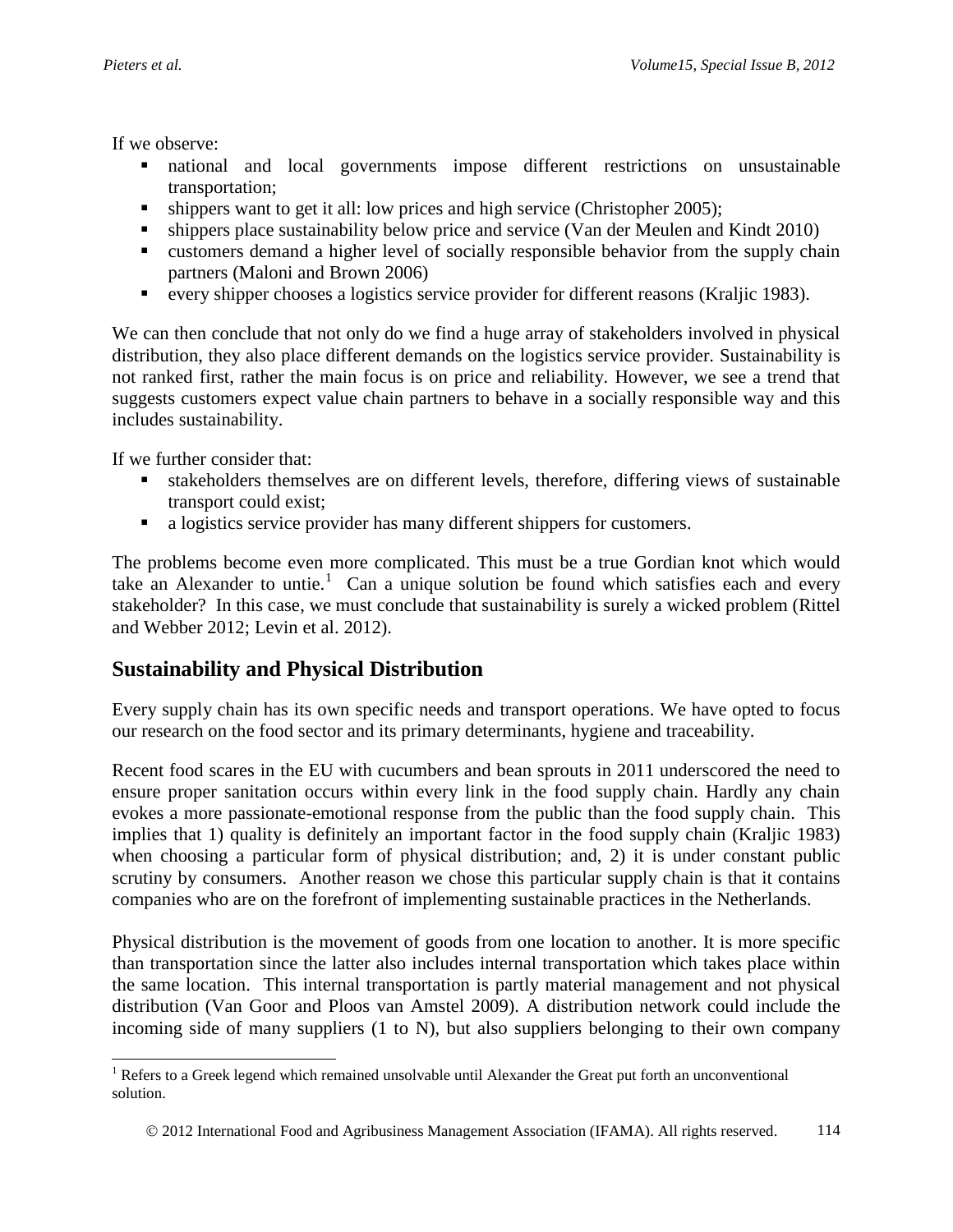If we observe:

- national and local governments impose different restrictions on unsustainable transportation;
- shippers want to get it all: low prices and high service (Christopher 2005);
- shippers place sustainability below price and service (Van der Meulen and Kindt 2010)
- customers demand a higher level of socially responsible behavior from the supply chain partners (Maloni and Brown 2006)
- every shipper chooses a logistics service provider for different reasons (Kraljic 1983).

We can then conclude that not only do we find a huge array of stakeholders involved in physical distribution, they also place different demands on the logistics service provider. Sustainability is not ranked first, rather the main focus is on price and reliability. However, we see a trend that suggests customers expect value chain partners to behave in a socially responsible way and this includes sustainability.

If we further consider that:

- stakeholders themselves are on different levels, therefore, differing views of sustainable transport could exist;
- a logistics service provider has many different shippers for customers.

The problems become even more complicated. This must be a true Gordian knot which would take an Alexander to untie.<sup>1</sup> Can a unique solution be found which satisfies each and every stakeholder? In this case, we must conclude that sustainability is surely a wicked problem (Rittel and Webber 2012; Levin et al. 2012).

## **Sustainability and Physical Distribution**

Every supply chain has its own specific needs and transport operations. We have opted to focus our research on the food sector and its primary determinants, hygiene and traceability.

Recent food scares in the EU with cucumbers and bean sprouts in 2011 underscored the need to ensure proper sanitation occurs within every link in the food supply chain. Hardly any chain evokes a more passionate-emotional response from the public than the food supply chain. This implies that 1) quality is definitely an important factor in the food supply chain (Kraljic 1983) when choosing a particular form of physical distribution; and, 2) it is under constant public scrutiny by consumers. Another reason we chose this particular supply chain is that it contains companies who are on the forefront of implementing sustainable practices in the Netherlands.

Physical distribution is the movement of goods from one location to another. It is more specific than transportation since the latter also includes internal transportation which takes place within the same location. This internal transportation is partly material management and not physical distribution (Van Goor and Ploos van Amstel 2009). A distribution network could include the incoming side of many suppliers (1 to N), but also suppliers belonging to their own company

l <sup>1</sup> Refers to a Greek legend which remained unsolvable until Alexander the Great put forth an unconventional solution.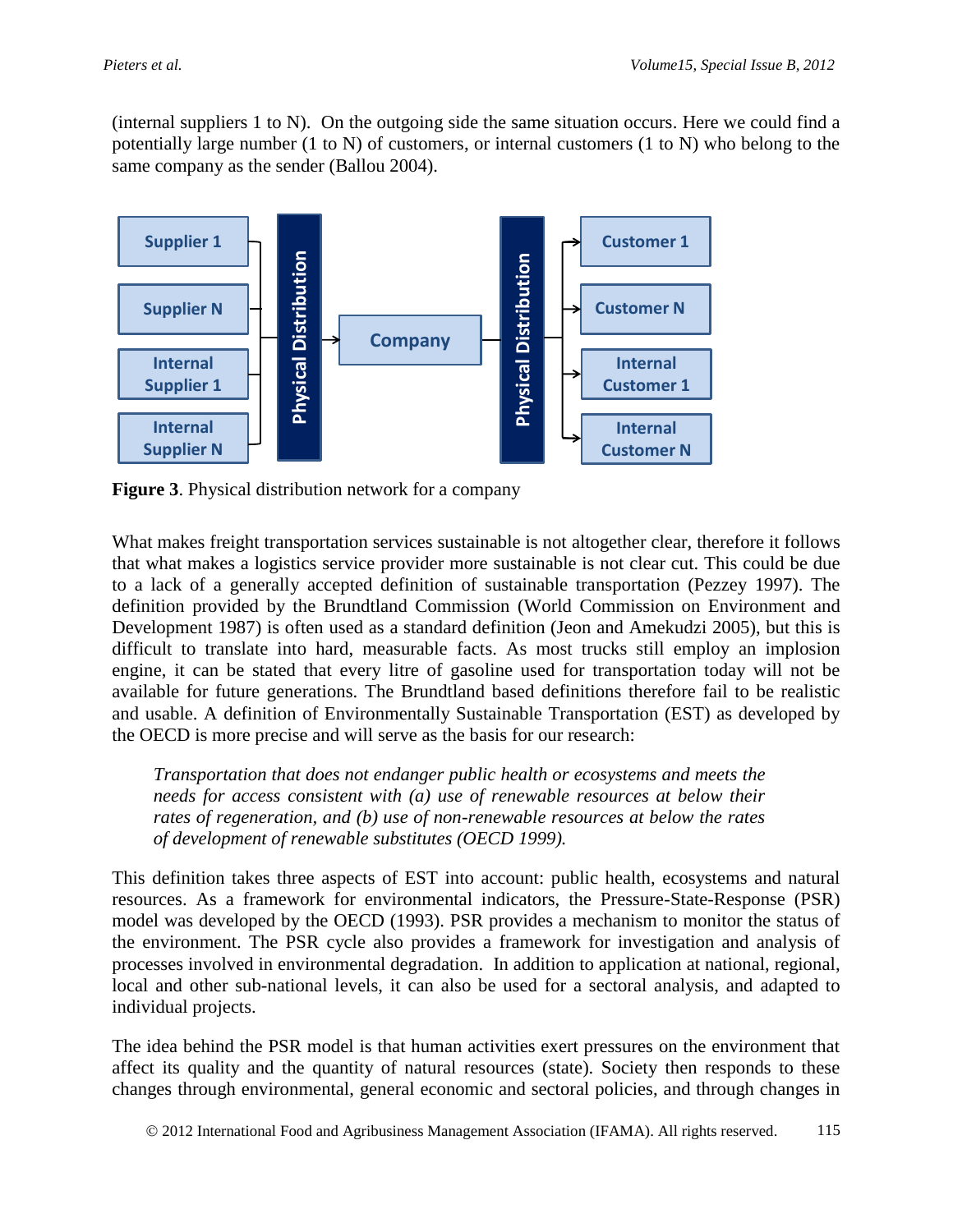(internal suppliers 1 to N). On the outgoing side the same situation occurs. Here we could find a potentially large number (1 to N) of customers, or internal customers (1 to N) who belong to the same company as the sender (Ballou 2004).



**Figure 3**. Physical distribution network for a company

What makes freight transportation services sustainable is not altogether clear, therefore it follows that what makes a logistics service provider more sustainable is not clear cut. This could be due to a lack of a generally accepted definition of sustainable transportation (Pezzey 1997). The definition provided by the Brundtland Commission (World Commission on Environment and Development 1987) is often used as a standard definition (Jeon and Amekudzi 2005), but this is difficult to translate into hard, measurable facts. As most trucks still employ an implosion engine, it can be stated that every litre of gasoline used for transportation today will not be available for future generations. The Brundtland based definitions therefore fail to be realistic and usable. A definition of Environmentally Sustainable Transportation (EST) as developed by the OECD is more precise and will serve as the basis for our research:

*Transportation that does not endanger public health or ecosystems and meets the needs for access consistent with (a) use of renewable resources at below their rates of regeneration, and (b) use of non-renewable resources at below the rates of development of renewable substitutes (OECD 1999).*

This definition takes three aspects of EST into account: public health, ecosystems and natural resources. As a framework for environmental indicators, the Pressure-State-Response (PSR) model was developed by the OECD (1993). PSR provides a mechanism to monitor the status of the environment. The PSR cycle also provides a framework for investigation and analysis of processes involved in environmental degradation. In addition to application at national, regional, local and other sub-national levels, it can also be used for a sectoral analysis, and adapted to individual projects.

The idea behind the PSR model is that human activities exert pressures on the environment that affect its quality and the quantity of natural resources (state). Society then responds to these changes through environmental, general economic and sectoral policies, and through changes in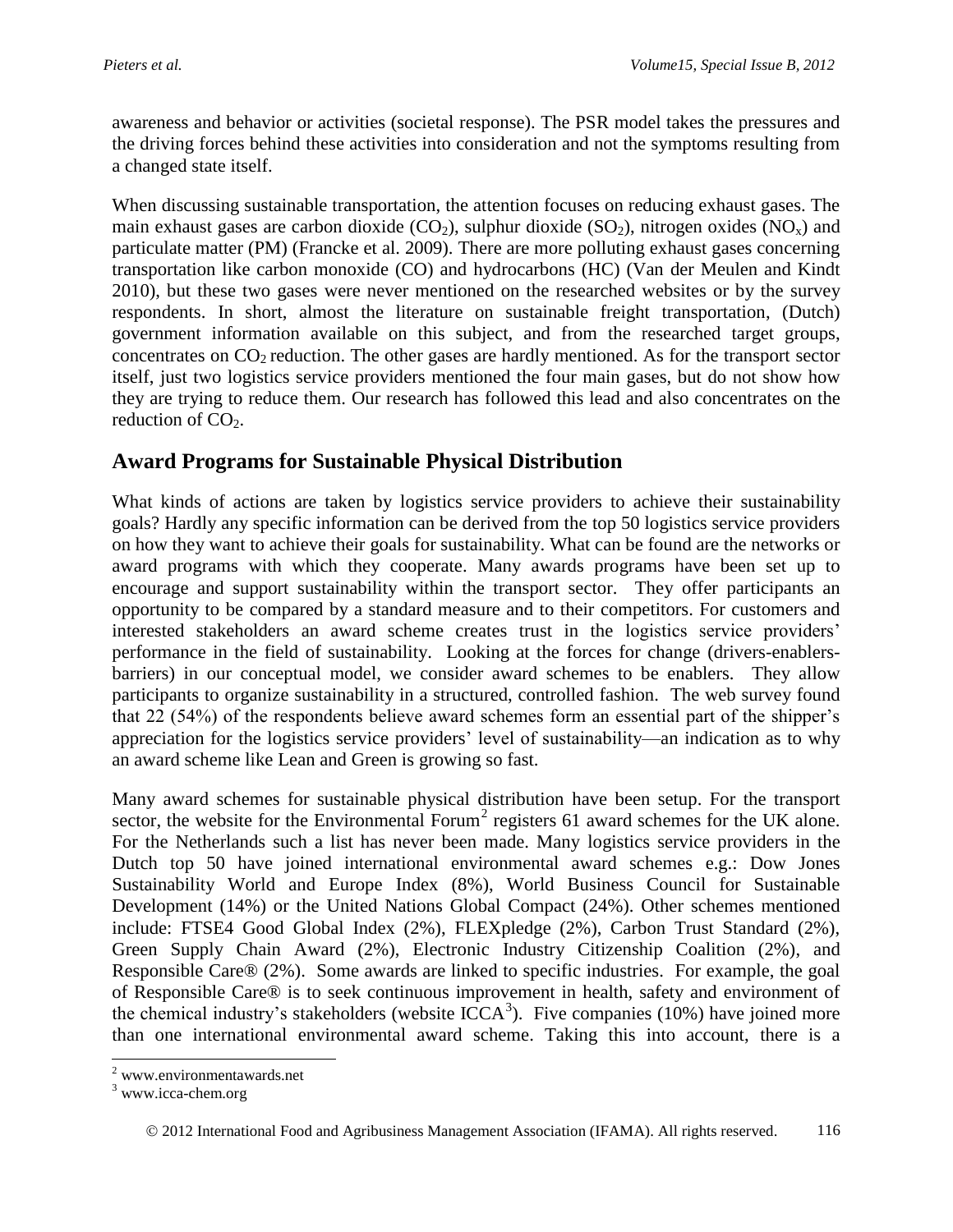awareness and behavior or activities (societal response). The PSR model takes the pressures and the driving forces behind these activities into consideration and not the symptoms resulting from a changed state itself.

When discussing sustainable transportation, the attention focuses on reducing exhaust gases. The main exhaust gases are carbon dioxide  $(CO_2)$ , sulphur dioxide  $(SO_2)$ , nitrogen oxides  $(NO_x)$  and particulate matter (PM) (Francke et al. 2009). There are more polluting exhaust gases concerning transportation like carbon monoxide (CO) and hydrocarbons (HC) (Van der Meulen and Kindt 2010), but these two gases were never mentioned on the researched websites or by the survey respondents. In short, almost the literature on sustainable freight transportation, (Dutch) government information available on this subject, and from the researched target groups, concentrates on  $CO<sub>2</sub>$  reduction. The other gases are hardly mentioned. As for the transport sector itself, just two logistics service providers mentioned the four main gases, but do not show how they are trying to reduce them. Our research has followed this lead and also concentrates on the reduction of  $CO<sub>2</sub>$ .

## **Award Programs for Sustainable Physical Distribution**

What kinds of actions are taken by logistics service providers to achieve their sustainability goals? Hardly any specific information can be derived from the top 50 logistics service providers on how they want to achieve their goals for sustainability. What can be found are the networks or award programs with which they cooperate. Many awards programs have been set up to encourage and support sustainability within the transport sector. They offer participants an opportunity to be compared by a standard measure and to their competitors. For customers and interested stakeholders an award scheme creates trust in the logistics service providers' performance in the field of sustainability. Looking at the forces for change (drivers-enablersbarriers) in our conceptual model, we consider award schemes to be enablers. They allow participants to organize sustainability in a structured, controlled fashion. The web survey found that 22 (54%) of the respondents believe award schemes form an essential part of the shipper's appreciation for the logistics service providers' level of sustainability—an indication as to why an award scheme like Lean and Green is growing so fast.

Many award schemes for sustainable physical distribution have been setup. For the transport sector, the website for the Environmental Forum<sup>2</sup> registers 61 award schemes for the UK alone. For the Netherlands such a list has never been made. Many logistics service providers in the Dutch top 50 have joined international environmental award schemes e.g.: Dow Jones Sustainability World and Europe Index (8%), World Business Council for Sustainable Development (14%) or the United Nations Global Compact (24%). Other schemes mentioned include: FTSE4 Good Global Index (2%), FLEXpledge (2%), Carbon Trust Standard (2%), Green Supply Chain Award (2%), Electronic Industry Citizenship Coalition (2%), and Responsible Care® (2%). Some awards are linked to specific industries. For example, the goal of Responsible Care® is to seek continuous improvement in health, safety and environment of the chemical industry's stakeholders (website ICCA<sup>3</sup>). Five companies (10%) have joined more than one international environmental award scheme. Taking this into account, there is a

l

<sup>&</sup>lt;sup>2</sup> www.environmentawards.net

<sup>&</sup>lt;sup>3</sup> www.icca-chem.org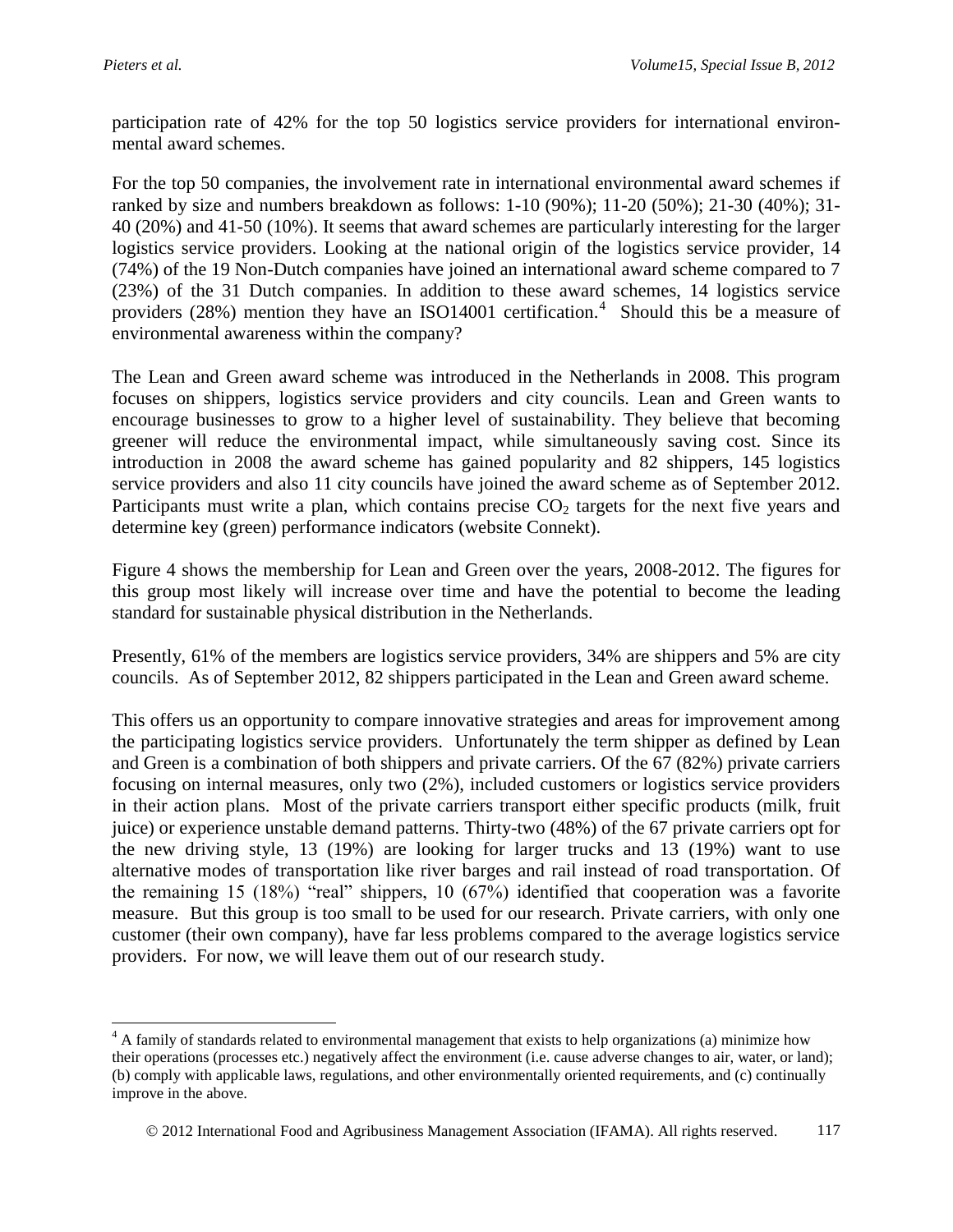$\overline{\phantom{a}}$ 

participation rate of 42% for the top 50 logistics service providers for international environmental award schemes.

For the top 50 companies, the involvement rate in international environmental award schemes if ranked by size and numbers breakdown as follows: 1-10 (90%); 11-20 (50%); 21-30 (40%); 31- 40 (20%) and 41-50 (10%). It seems that award schemes are particularly interesting for the larger logistics service providers. Looking at the national origin of the logistics service provider, 14 (74%) of the 19 Non-Dutch companies have joined an international award scheme compared to 7 (23%) of the 31 Dutch companies. In addition to these award schemes, 14 logistics service providers (28%) mention they have an ISO14001 certification.<sup>4</sup> Should this be a measure of environmental awareness within the company?

The Lean and Green award scheme was introduced in the Netherlands in 2008. This program focuses on shippers, logistics service providers and city councils. Lean and Green wants to encourage businesses to grow to a higher level of sustainability. They believe that becoming greener will reduce the environmental impact, while simultaneously saving cost. Since its introduction in 2008 the award scheme has gained popularity and 82 shippers, 145 logistics service providers and also 11 city councils have joined the award scheme as of September 2012. Participants must write a plan, which contains precise  $CO<sub>2</sub>$  targets for the next five years and determine key (green) performance indicators (website Connekt).

Figure 4 shows the membership for Lean and Green over the years, 2008-2012. The figures for this group most likely will increase over time and have the potential to become the leading standard for sustainable physical distribution in the Netherlands.

Presently, 61% of the members are logistics service providers, 34% are shippers and 5% are city councils. As of September 2012, 82 shippers participated in the Lean and Green award scheme.

This offers us an opportunity to compare innovative strategies and areas for improvement among the participating logistics service providers. Unfortunately the term shipper as defined by Lean and Green is a combination of both shippers and private carriers. Of the 67 (82%) private carriers focusing on internal measures, only two (2%), included customers or logistics service providers in their action plans. Most of the private carriers transport either specific products (milk, fruit juice) or experience unstable demand patterns. Thirty-two (48%) of the 67 private carriers opt for the new driving style, 13 (19%) are looking for larger trucks and 13 (19%) want to use alternative modes of transportation like river barges and rail instead of road transportation. Of the remaining 15 (18%) "real" shippers, 10 (67%) identified that cooperation was a favorite measure. But this group is too small to be used for our research. Private carriers, with only one customer (their own company), have far less problems compared to the average logistics service providers. For now, we will leave them out of our research study.

<sup>&</sup>lt;sup>4</sup> A family of standards related to environmental management that exists to help organizations (a) minimize how their operations (processes etc.) negatively affect the environment (i.e. cause adverse changes to air, water, or land); (b) comply with applicable laws, regulations, and other environmentally oriented requirements, and (c) continually improve in the above.

2012 International Food and Agribusiness Management Association (IFAMA). All rights reserved. 117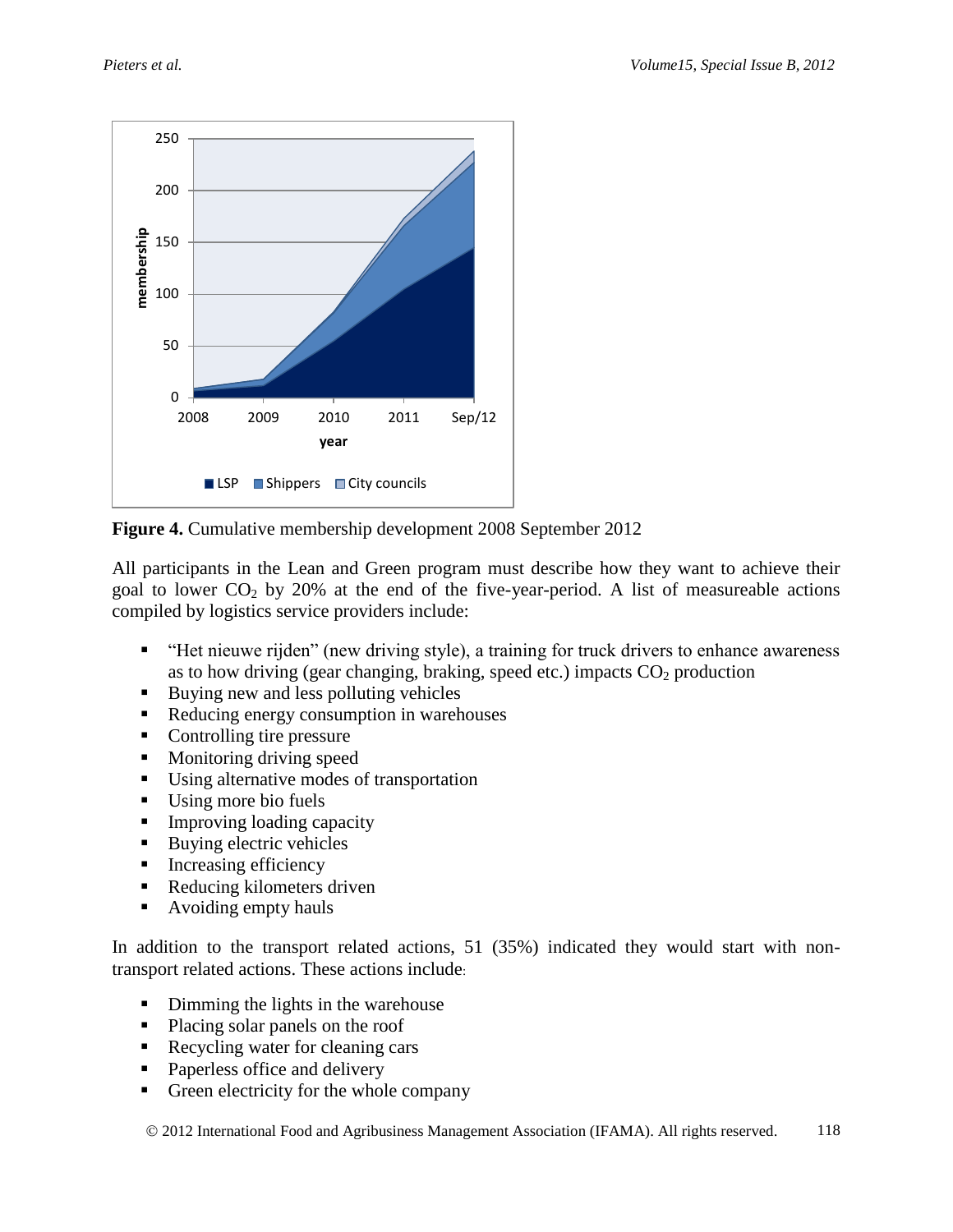

**Figure 4.** Cumulative membership development 2008 September 2012

All participants in the Lean and Green program must describe how they want to achieve their goal to lower  $CO<sub>2</sub>$  by 20% at the end of the five-year-period. A list of measureable actions compiled by logistics service providers include:

- "Het nieuwe rijden" (new driving style), a training for truck drivers to enhance awareness as to how driving (gear changing, braking, speed etc.) impacts  $CO<sub>2</sub>$  production
- Buying new and less polluting vehicles
- Reducing energy consumption in warehouses
- Controlling tire pressure
- **Monitoring driving speed**
- Using alternative modes of transportation
- Using more bio fuels
- Improving loading capacity
- Buying electric vehicles
- $\blacksquare$  Increasing efficiency
- Reducing kilometers driven
- Avoiding empty hauls

In addition to the transport related actions, 51 (35%) indicated they would start with nontransport related actions. These actions include:

- Dimming the lights in the warehouse
- Placing solar panels on the roof
- Recycling water for cleaning cars
- Paperless office and delivery
- Green electricity for the whole company

© 2012 International Food and Agribusiness Management Association (IFAMA). All rights reserved. 118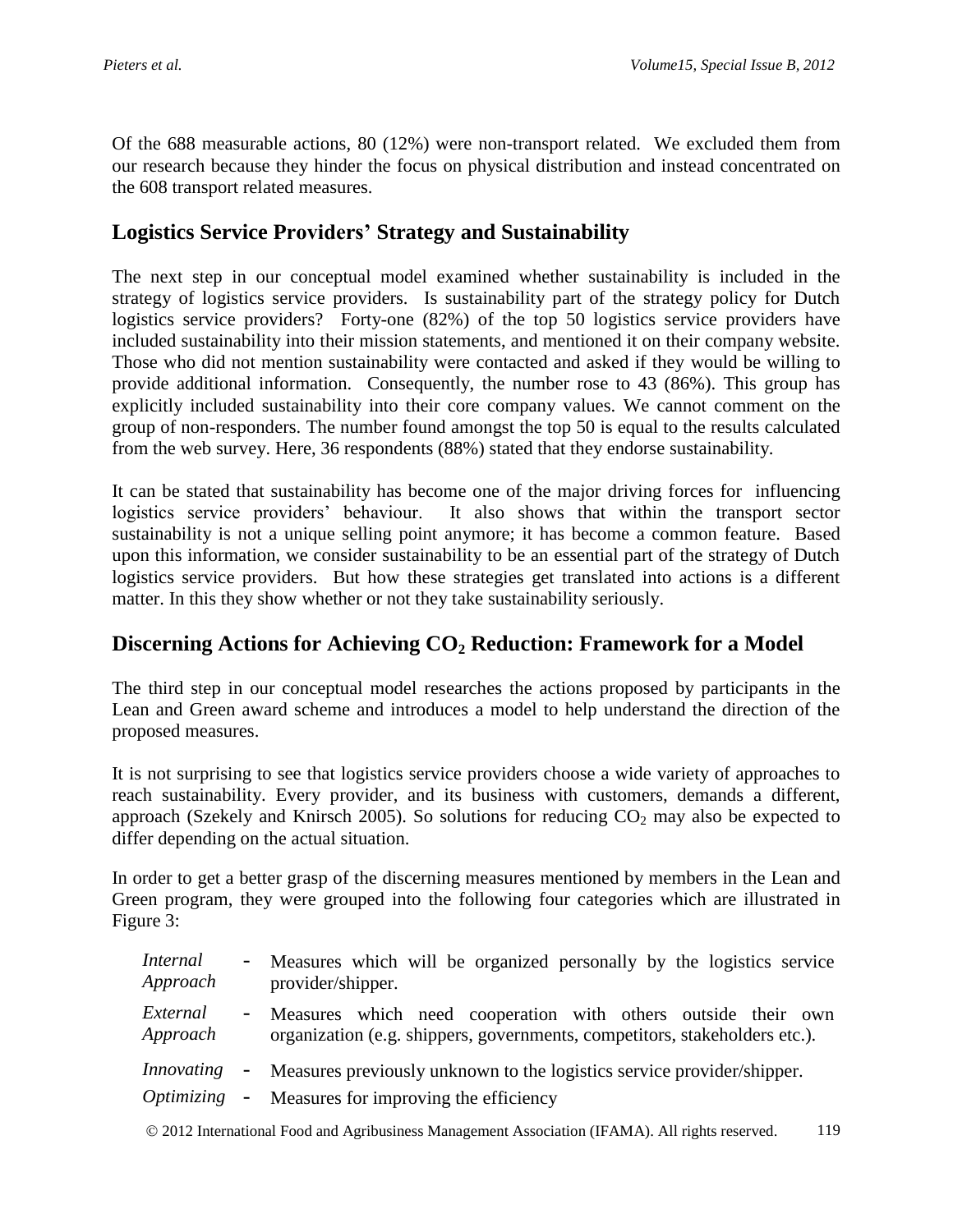Of the 688 measurable actions, 80 (12%) were non-transport related. We excluded them from our research because they hinder the focus on physical distribution and instead concentrated on the 608 transport related measures.

## **Logistics Service Providers' Strategy and Sustainability**

The next step in our conceptual model examined whether sustainability is included in the strategy of logistics service providers. Is sustainability part of the strategy policy for Dutch logistics service providers? Forty-one (82%) of the top 50 logistics service providers have included sustainability into their mission statements, and mentioned it on their company website. Those who did not mention sustainability were contacted and asked if they would be willing to provide additional information. Consequently, the number rose to 43 (86%). This group has explicitly included sustainability into their core company values. We cannot comment on the group of non-responders. The number found amongst the top 50 is equal to the results calculated from the web survey. Here, 36 respondents (88%) stated that they endorse sustainability.

It can be stated that sustainability has become one of the major driving forces for influencing logistics service providers' behaviour. It also shows that within the transport sector sustainability is not a unique selling point anymore; it has become a common feature. Based upon this information, we consider sustainability to be an essential part of the strategy of Dutch logistics service providers. But how these strategies get translated into actions is a different matter. In this they show whether or not they take sustainability seriously.

## **Discerning Actions for Achieving CO<sup>2</sup> Reduction: Framework for a Model**

The third step in our conceptual model researches the actions proposed by participants in the Lean and Green award scheme and introduces a model to help understand the direction of the proposed measures.

It is not surprising to see that logistics service providers choose a wide variety of approaches to reach sustainability. Every provider, and its business with customers, demands a different, approach (Szekely and Knirsch 2005). So solutions for reducing  $CO<sub>2</sub>$  may also be expected to differ depending on the actual situation.

In order to get a better grasp of the discerning measures mentioned by members in the Lean and Green program, they were grouped into the following four categories which are illustrated in Figure 3:

| <i>Internal</i><br>Approach | - Measures which will be organized personally by the logistics service<br>provider/shipper.                                                   |
|-----------------------------|-----------------------------------------------------------------------------------------------------------------------------------------------|
| External<br>Approach        | - Measures which need cooperation with others outside their own<br>organization (e.g. shippers, governments, competitors, stakeholders etc.). |
| Innovating<br>Optimizing    | - Measures previously unknown to the logistics service provider/shipper.<br>- Measures for improving the efficiency                           |

2012 International Food and Agribusiness Management Association (IFAMA). All rights reserved. 119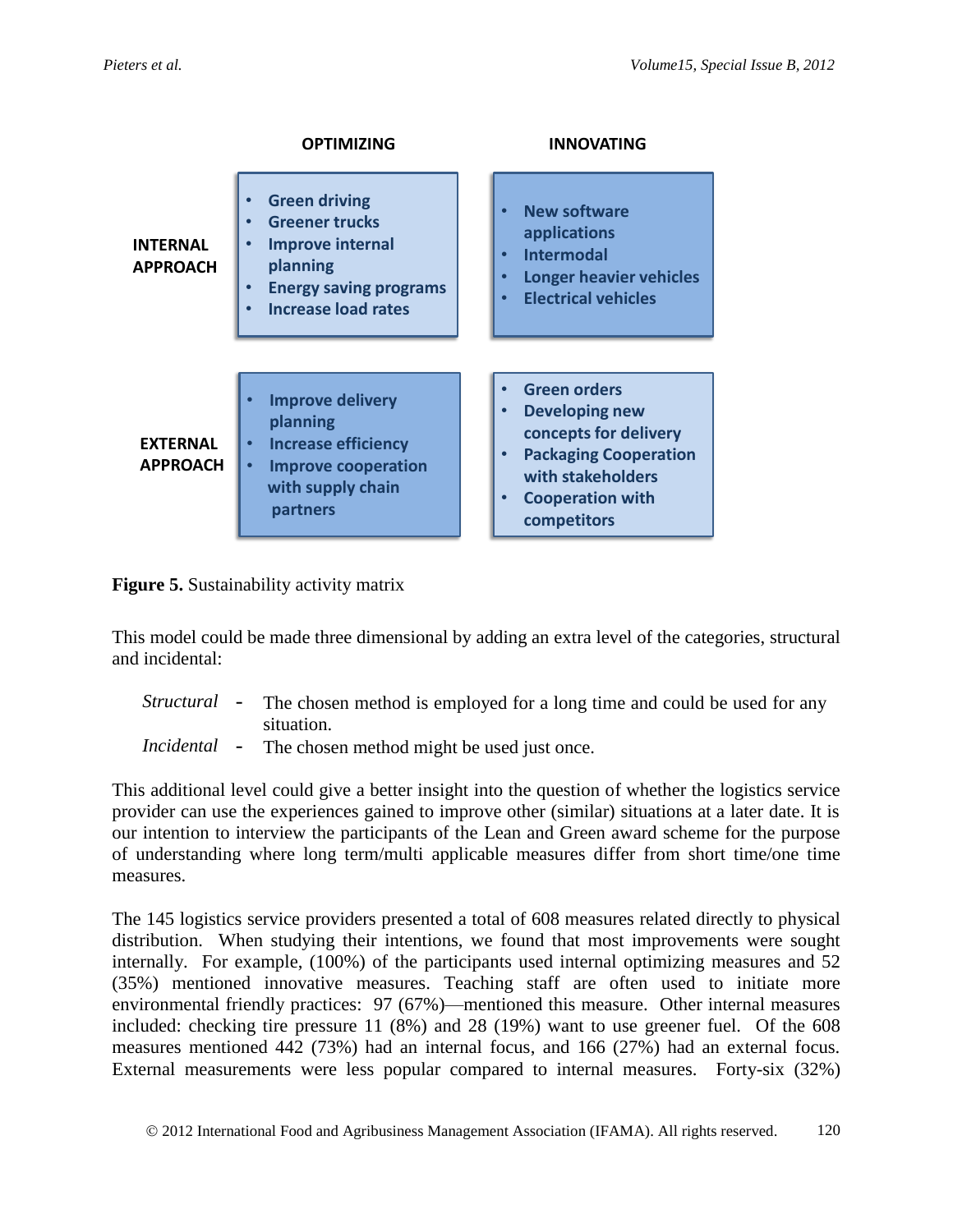|                                    | <b>OPTIMIZING</b>                                                                                                                                                | <b>INNOVATING</b>                                                                                                                                                                 |
|------------------------------------|------------------------------------------------------------------------------------------------------------------------------------------------------------------|-----------------------------------------------------------------------------------------------------------------------------------------------------------------------------------|
| <b>INTERNAL</b><br><b>APPROACH</b> | <b>Green driving</b><br><b>Greener trucks</b><br><b>Improve internal</b><br>planning<br><b>Energy saving programs</b><br>$\bullet$<br><b>Increase load rates</b> | <b>New software</b><br>$\bullet$<br>applications<br><b>Intermodal</b><br><b>Longer heavier vehicles</b><br><b>Electrical vehicles</b>                                             |
| <b>EXTERNAL</b><br><b>APPROACH</b> | <b>Improve delivery</b><br>planning<br><b>Increase efficiency</b><br>$\bullet$<br><b>Improve cooperation</b><br>with supply chain<br>partners                    | <b>Green orders</b><br><b>Developing new</b><br>concepts for delivery<br><b>Packaging Cooperation</b><br>$\bullet$<br>with stakeholders<br><b>Cooperation with</b><br>competitors |

**Figure 5.** Sustainability activity matrix

This model could be made three dimensional by adding an extra level of the categories, structural and incidental:

- *Structural* The chosen method is employed for a long time and could be used for any situation.
- *Incidental*  The chosen method might be used just once.

This additional level could give a better insight into the question of whether the logistics service provider can use the experiences gained to improve other (similar) situations at a later date. It is our intention to interview the participants of the Lean and Green award scheme for the purpose of understanding where long term/multi applicable measures differ from short time/one time measures.

The 145 logistics service providers presented a total of 608 measures related directly to physical distribution. When studying their intentions, we found that most improvements were sought internally. For example, (100%) of the participants used internal optimizing measures and 52 (35%) mentioned innovative measures. Teaching staff are often used to initiate more environmental friendly practices: 97 (67%)—mentioned this measure. Other internal measures included: checking tire pressure 11 (8%) and 28 (19%) want to use greener fuel. Of the 608 measures mentioned 442 (73%) had an internal focus, and 166 (27%) had an external focus. External measurements were less popular compared to internal measures. Forty-six (32%)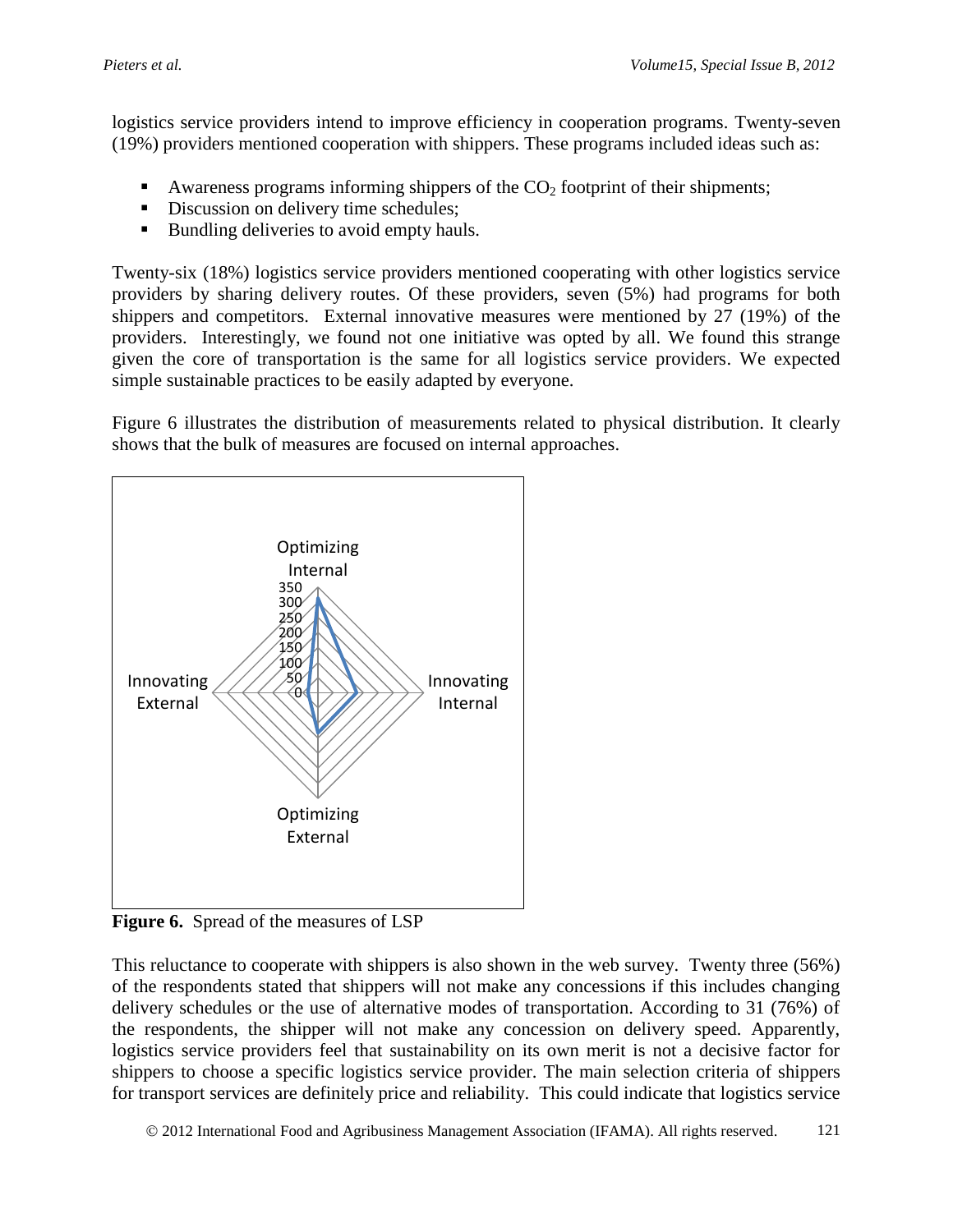logistics service providers intend to improve efficiency in cooperation programs. Twenty-seven (19%) providers mentioned cooperation with shippers. These programs included ideas such as:

- Awareness programs informing shippers of the  $CO<sub>2</sub>$  footprint of their shipments;
- Discussion on delivery time schedules:
- Bundling deliveries to avoid empty hauls.

Twenty-six (18%) logistics service providers mentioned cooperating with other logistics service providers by sharing delivery routes. Of these providers, seven (5%) had programs for both shippers and competitors. External innovative measures were mentioned by 27 (19%) of the providers. Interestingly, we found not one initiative was opted by all. We found this strange given the core of transportation is the same for all logistics service providers. We expected simple sustainable practices to be easily adapted by everyone.

Figure 6 illustrates the distribution of measurements related to physical distribution. It clearly shows that the bulk of measures are focused on internal approaches.



**Figure 6.** Spread of the measures of LSP

This reluctance to cooperate with shippers is also shown in the web survey. Twenty three (56%) of the respondents stated that shippers will not make any concessions if this includes changing delivery schedules or the use of alternative modes of transportation. According to 31 (76%) of the respondents, the shipper will not make any concession on delivery speed. Apparently, logistics service providers feel that sustainability on its own merit is not a decisive factor for shippers to choose a specific logistics service provider. The main selection criteria of shippers for transport services are definitely price and reliability. This could indicate that logistics service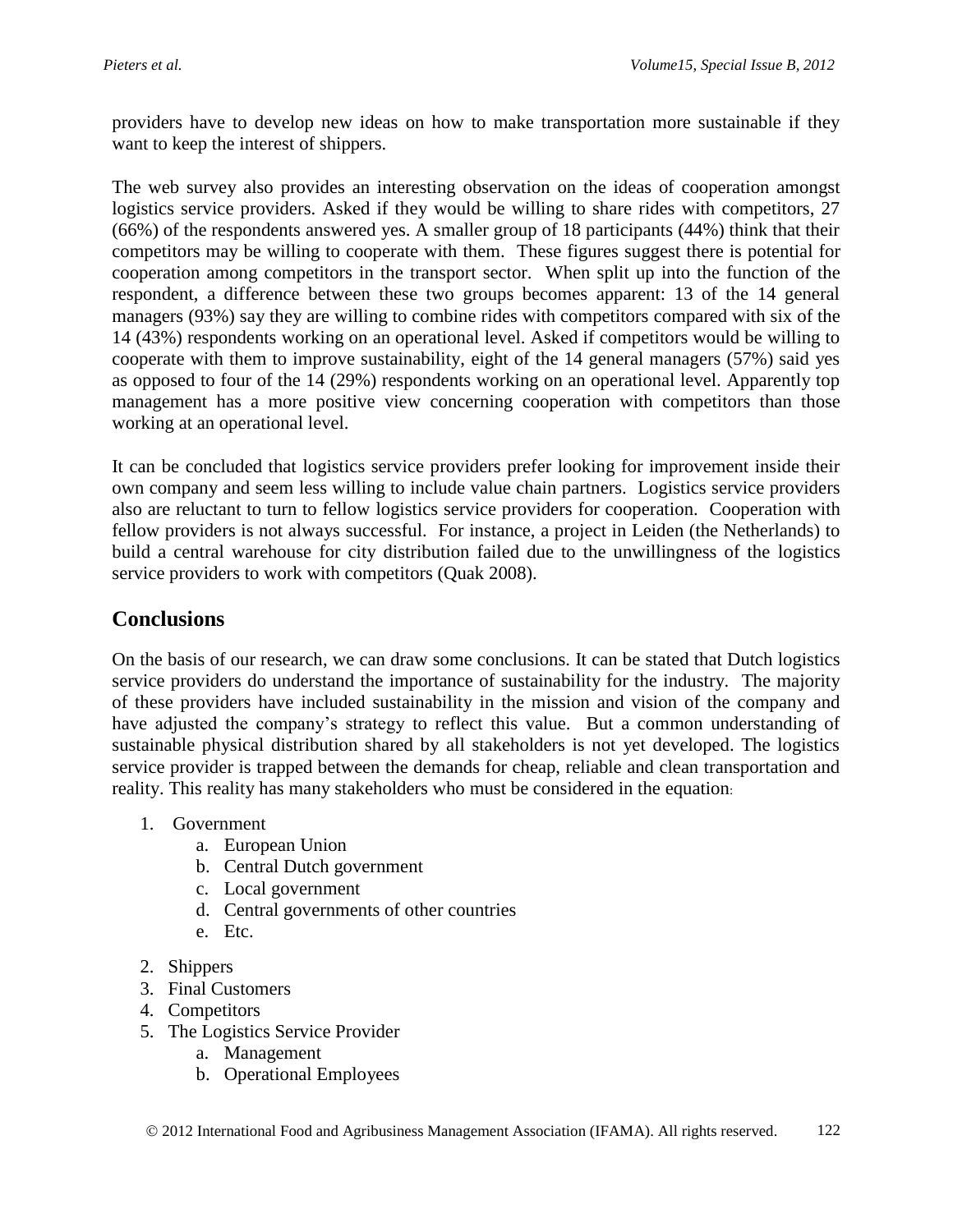providers have to develop new ideas on how to make transportation more sustainable if they want to keep the interest of shippers.

The web survey also provides an interesting observation on the ideas of cooperation amongst logistics service providers. Asked if they would be willing to share rides with competitors, 27 (66%) of the respondents answered yes. A smaller group of 18 participants (44%) think that their competitors may be willing to cooperate with them. These figures suggest there is potential for cooperation among competitors in the transport sector. When split up into the function of the respondent, a difference between these two groups becomes apparent: 13 of the 14 general managers (93%) say they are willing to combine rides with competitors compared with six of the 14 (43%) respondents working on an operational level. Asked if competitors would be willing to cooperate with them to improve sustainability, eight of the 14 general managers (57%) said yes as opposed to four of the 14 (29%) respondents working on an operational level. Apparently top management has a more positive view concerning cooperation with competitors than those working at an operational level.

It can be concluded that logistics service providers prefer looking for improvement inside their own company and seem less willing to include value chain partners. Logistics service providers also are reluctant to turn to fellow logistics service providers for cooperation. Cooperation with fellow providers is not always successful. For instance, a project in Leiden (the Netherlands) to build a central warehouse for city distribution failed due to the unwillingness of the logistics service providers to work with competitors (Quak 2008).

## **Conclusions**

On the basis of our research, we can draw some conclusions. It can be stated that Dutch logistics service providers do understand the importance of sustainability for the industry. The majority of these providers have included sustainability in the mission and vision of the company and have adjusted the company's strategy to reflect this value. But a common understanding of sustainable physical distribution shared by all stakeholders is not yet developed. The logistics service provider is trapped between the demands for cheap, reliable and clean transportation and reality. This reality has many stakeholders who must be considered in the equation:

- 1. Government
	- a. European Union
	- b. Central Dutch government
	- c. Local government
	- d. Central governments of other countries
	- e. Etc.
- 2. Shippers
- 3. Final Customers
- 4. Competitors
- 5. The Logistics Service Provider
	- a. Management
	- b. Operational Employees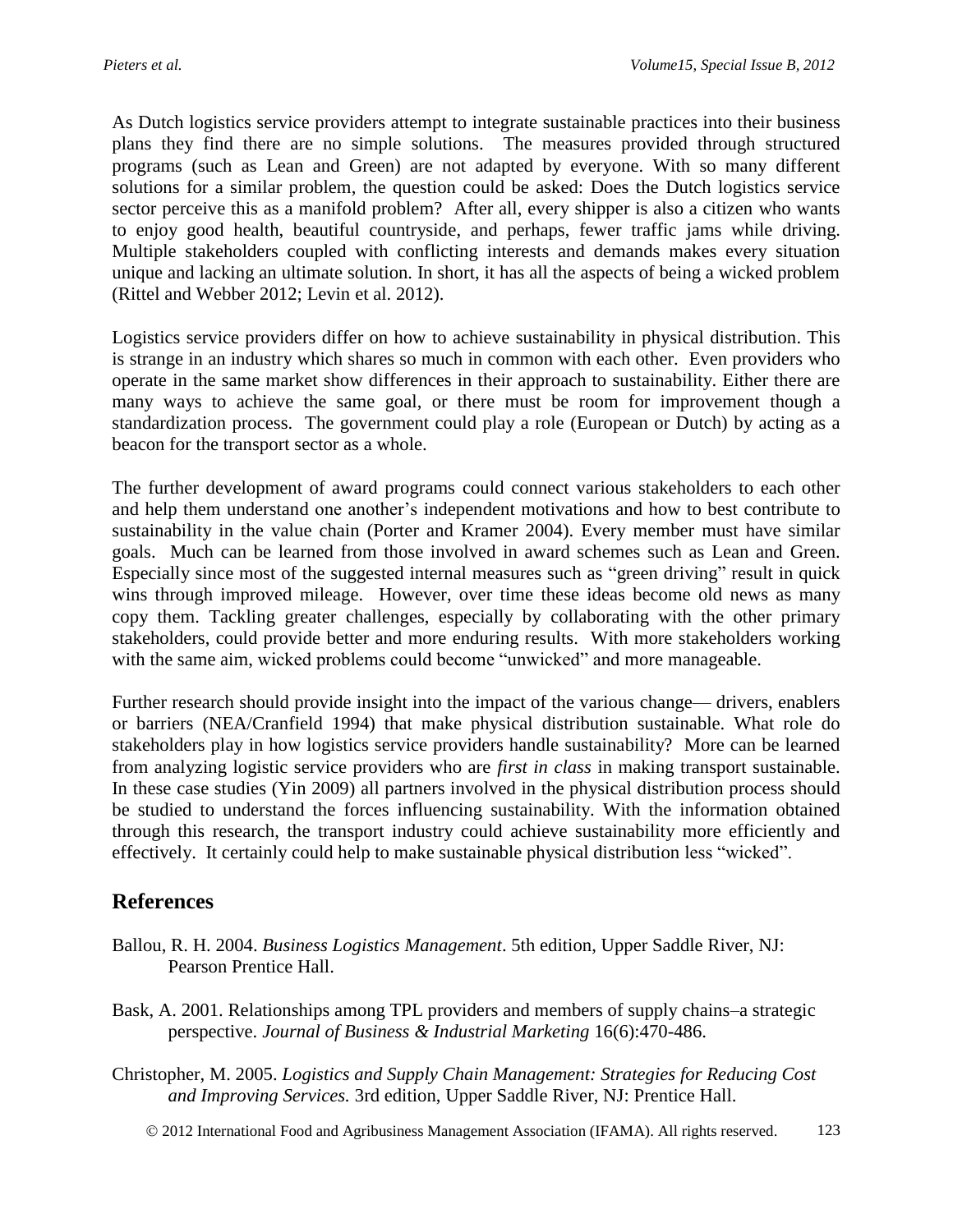As Dutch logistics service providers attempt to integrate sustainable practices into their business plans they find there are no simple solutions. The measures provided through structured programs (such as Lean and Green) are not adapted by everyone. With so many different solutions for a similar problem, the question could be asked: Does the Dutch logistics service sector perceive this as a manifold problem? After all, every shipper is also a citizen who wants to enjoy good health, beautiful countryside, and perhaps, fewer traffic jams while driving. Multiple stakeholders coupled with conflicting interests and demands makes every situation unique and lacking an ultimate solution. In short, it has all the aspects of being a wicked problem (Rittel and Webber 2012; Levin et al. 2012).

Logistics service providers differ on how to achieve sustainability in physical distribution. This is strange in an industry which shares so much in common with each other. Even providers who operate in the same market show differences in their approach to sustainability. Either there are many ways to achieve the same goal, or there must be room for improvement though a standardization process. The government could play a role (European or Dutch) by acting as a beacon for the transport sector as a whole.

The further development of award programs could connect various stakeholders to each other and help them understand one another's independent motivations and how to best contribute to sustainability in the value chain (Porter and Kramer 2004). Every member must have similar goals. Much can be learned from those involved in award schemes such as Lean and Green. Especially since most of the suggested internal measures such as "green driving" result in quick wins through improved mileage. However, over time these ideas become old news as many copy them. Tackling greater challenges, especially by collaborating with the other primary stakeholders, could provide better and more enduring results. With more stakeholders working with the same aim, wicked problems could become "unwicked" and more manageable.

Further research should provide insight into the impact of the various change— drivers, enablers or barriers (NEA/Cranfield 1994) that make physical distribution sustainable. What role do stakeholders play in how logistics service providers handle sustainability? More can be learned from analyzing logistic service providers who are *first in class* in making transport sustainable. In these case studies (Yin 2009) all partners involved in the physical distribution process should be studied to understand the forces influencing sustainability. With the information obtained through this research, the transport industry could achieve sustainability more efficiently and effectively. It certainly could help to make sustainable physical distribution less "wicked".

### **References**

- Ballou, R. H. 2004. *Business Logistics Management*. 5th edition, Upper Saddle River, NJ: Pearson Prentice Hall.
- Bask, A. 2001. Relationships among TPL providers and members of supply chains–a strategic perspective. *Journal of Business & Industrial Marketing* 16(6):470-486.
- Christopher, M. 2005. *Logistics and Supply Chain Management: Strategies for Reducing Cost and Improving Services.* 3rd edition, Upper Saddle River, NJ: Prentice Hall.
	- 2012 International Food and Agribusiness Management Association (IFAMA). All rights reserved. 123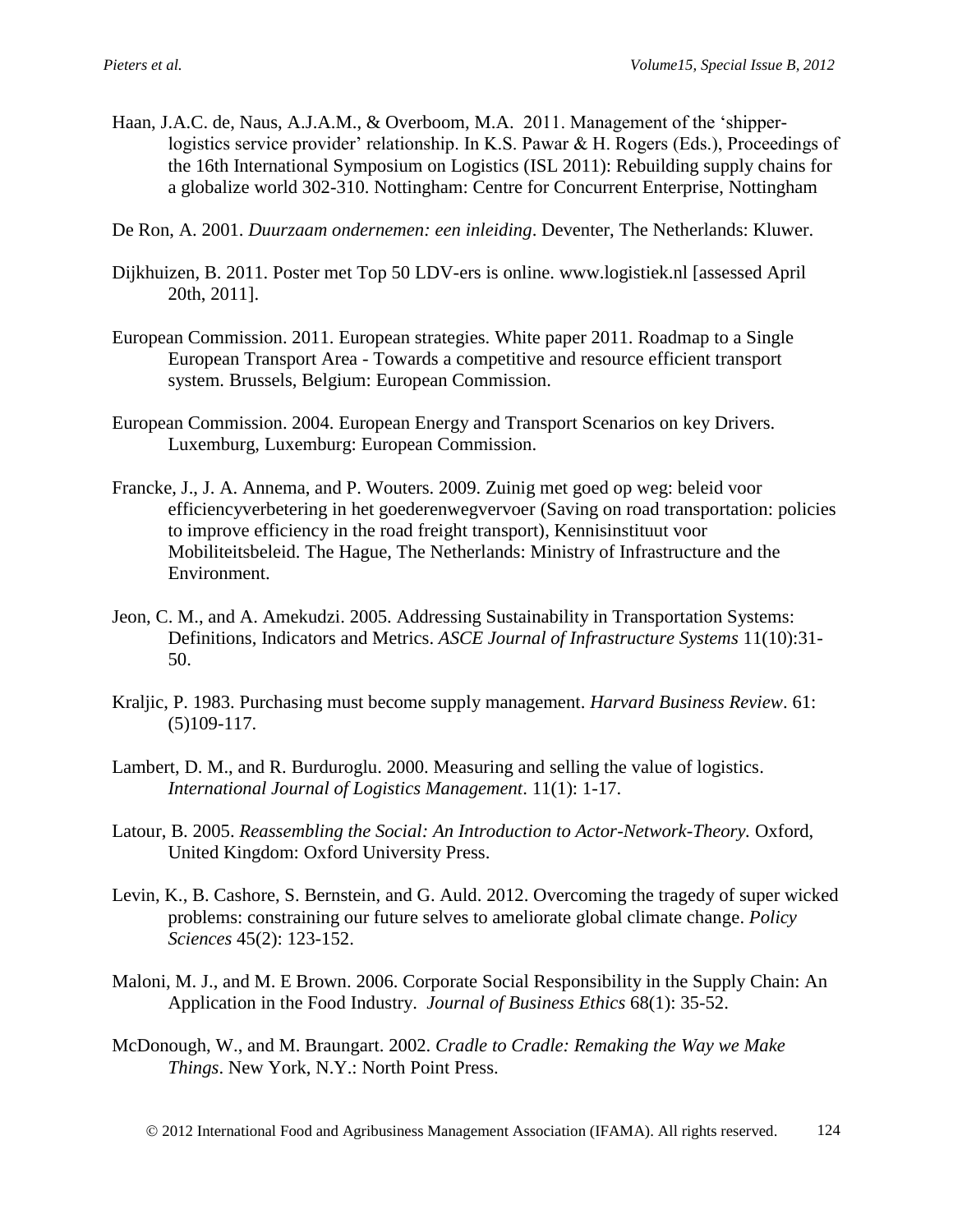- Haan, J.A.C. de, Naus, A.J.A.M., & Overboom, M.A. 2011. Management of the 'shipperlogistics service provider' relationship. In K.S. Pawar & H. Rogers (Eds.), Proceedings of the 16th International Symposium on Logistics (ISL 2011): Rebuilding supply chains for a globalize world 302-310. Nottingham: Centre for Concurrent Enterprise, Nottingham
- De Ron, A. 2001. *Duurzaam ondernemen: een inleiding*. Deventer, The Netherlands: Kluwer.
- Dijkhuizen, B. 2011. Poster met Top 50 LDV-ers is online. www.logistiek.nl [assessed April 20th, 2011].
- European Commission. 2011. European strategies. White paper 2011. Roadmap to a Single European Transport Area - Towards a competitive and resource efficient transport system. Brussels, Belgium: European Commission.
- European Commission. 2004. European Energy and Transport Scenarios on key Drivers. Luxemburg, Luxemburg: European Commission.
- Francke, J., J. A. Annema, and P. Wouters. 2009. Zuinig met goed op weg: beleid voor efficiencyverbetering in het goederenwegvervoer (Saving on road transportation: policies to improve efficiency in the road freight transport), Kennisinstituut voor Mobiliteitsbeleid. The Hague, The Netherlands: Ministry of Infrastructure and the Environment.
- Jeon, C. M., and A. Amekudzi. 2005. Addressing Sustainability in Transportation Systems: Definitions, Indicators and Metrics. *ASCE Journal of Infrastructure Systems* 11(10):31- 50.
- Kraljic, P. 1983. Purchasing must become supply management. *Harvard Business Review*. 61: (5)109-117.
- Lambert, D. M., and R. Burduroglu. 2000. Measuring and selling the value of logistics. *International Journal of Logistics Management*. 11(1): 1-17.
- Latour, B. 2005. *Reassembling the Social: An Introduction to Actor-Network-Theory.* Oxford, United Kingdom: Oxford University Press.
- Levin, K., B. Cashore, S. Bernstein, and G. Auld. 2012. Overcoming the tragedy of super wicked problems: constraining our future selves to ameliorate global climate change. *Policy Sciences* 45(2): 123-152.
- Maloni, M. J., and M. E Brown. 2006. Corporate Social Responsibility in the Supply Chain: An Application in the Food Industry. *Journal of Business Ethics* 68(1): 35-52.
- McDonough, W., and M. Braungart. 2002. *Cradle to Cradle: Remaking the Way we Make Things*. New York, N.Y.: North Point Press.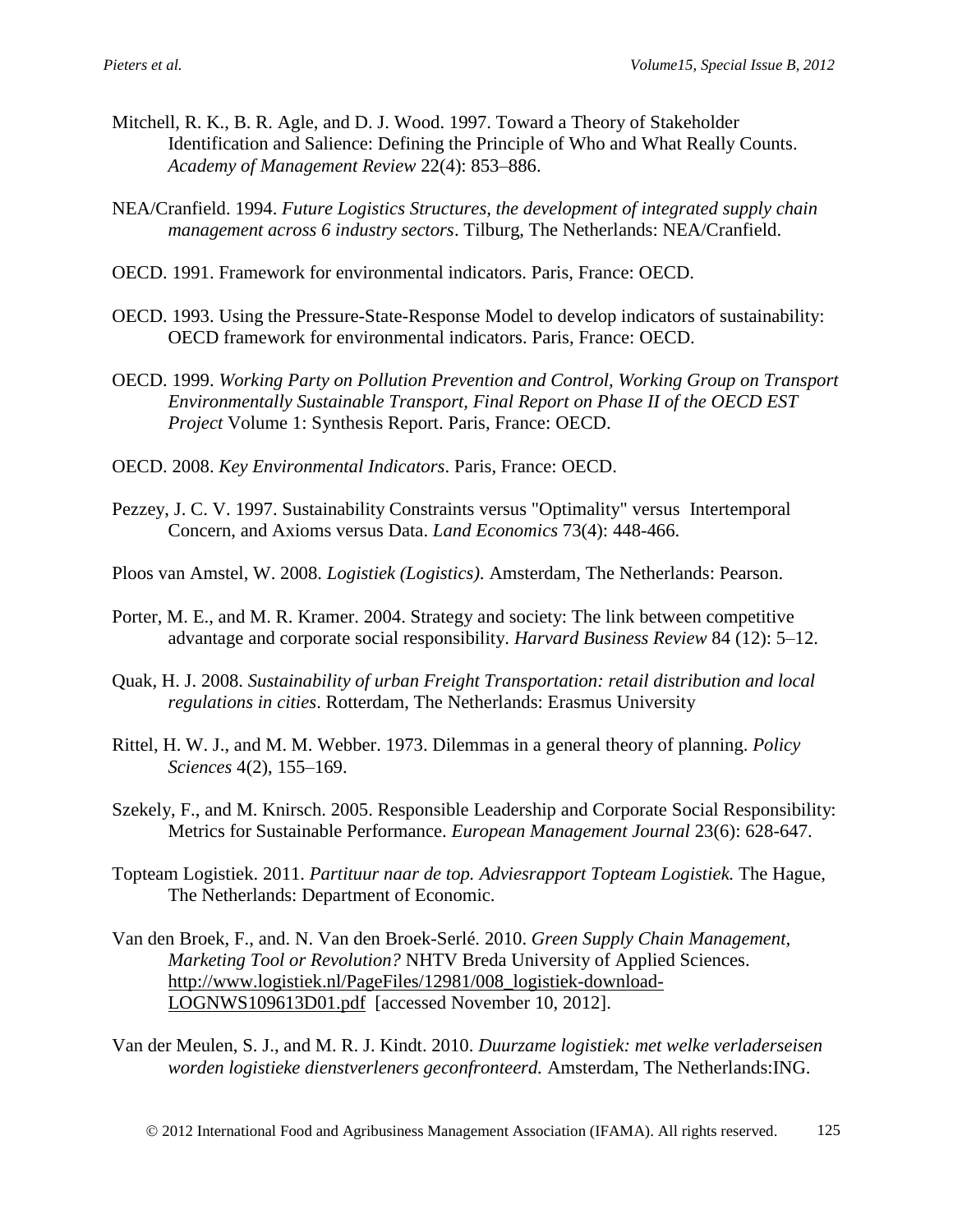- Mitchell, R. K., B. R. Agle, and D. J. Wood. 1997. Toward a Theory of Stakeholder Identification and Salience: Defining the Principle of Who and What Really Counts. *Academy of Management Review* 22(4): 853–886.
- NEA/Cranfield. 1994. *Future Logistics Structures, the development of integrated supply chain management across 6 industry sectors*. Tilburg, The Netherlands: NEA/Cranfield.
- OECD. 1991. Framework for environmental indicators. Paris, France: OECD.
- OECD. 1993. Using the Pressure-State-Response Model to develop indicators of sustainability: OECD framework for environmental indicators. Paris, France: OECD.
- OECD. 1999. *Working Party on Pollution Prevention and Control, Working Group on Transport Environmentally Sustainable Transport, Final Report on Phase II of the OECD EST Project* Volume 1: Synthesis Report. Paris, France: OECD.
- OECD. 2008. *Key Environmental Indicators*. Paris, France: OECD.
- Pezzey, J. C. V. 1997. Sustainability Constraints versus "Optimality" versus Intertemporal Concern, and Axioms versus Data. *Land Economics* 73(4): 448-466.
- Ploos van Amstel, W. 2008. *Logistiek (Logistics)*. Amsterdam, The Netherlands: Pearson.
- Porter, M. E., and M. R. Kramer. 2004. Strategy and society: The link between competitive advantage and corporate social responsibility. *Harvard Business Review* 84 (12): 5–12.
- Quak, H. J. 2008. *Sustainability of urban Freight Transportation: retail distribution and local regulations in cities*. Rotterdam, The Netherlands: Erasmus University
- Rittel, H. W. J., and M. M. Webber. 1973. Dilemmas in a general theory of planning. *Policy Sciences* 4(2), 155–169.
- Szekely, F., and M. Knirsch. 2005. Responsible Leadership and Corporate Social Responsibility: Metrics for Sustainable Performance. *European Management Journal* 23(6): 628-647.
- Topteam Logistiek. 2011. *Partituur naar de top. Adviesrapport Topteam Logistiek.* The Hague, The Netherlands: Department of Economic.
- Van den Broek, F., and. N. Van den Broek-Serlé. 2010. *Green Supply Chain Management, Marketing Tool or Revolution?* NHTV Breda University of Applied Sciences. [http://www.logistiek.nl/PageFiles/12981/008\\_logistiek-download-](http://www.logistiek.nl/PageFiles/12981/008_logistiek-download-LOGNWS109613D01.pdf)[LOGNWS109613D01.pdf](http://www.logistiek.nl/PageFiles/12981/008_logistiek-download-LOGNWS109613D01.pdf) [accessed November 10, 2012].
- Van der Meulen, S. J., and M. R. J. Kindt. 2010. *Duurzame logistiek: met welke verladerseisen worden logistieke dienstverleners geconfronteerd.* Amsterdam, The Netherlands:ING.